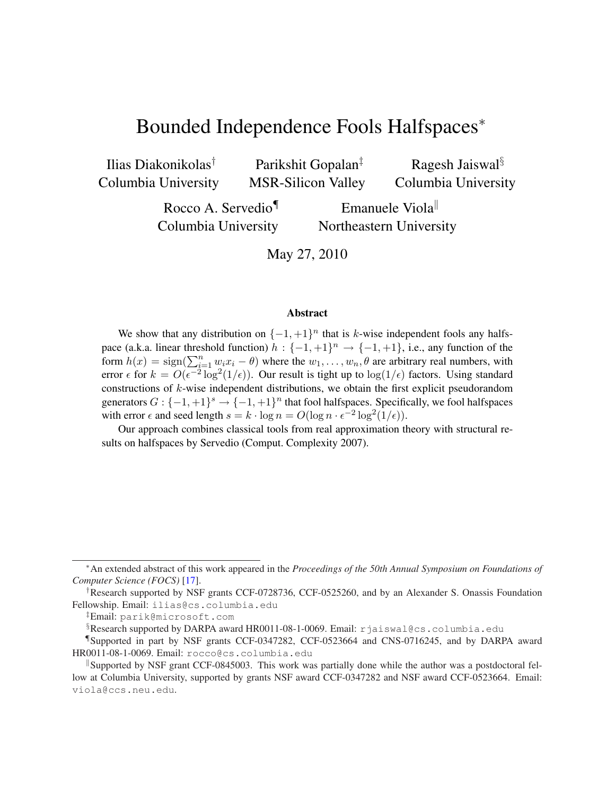# Bounded Independence Fools Halfspaces<sup>∗</sup>

Ilias Diakonikolas† Columbia University

Parikshit Gopalan‡ MSR-Silicon Valley

Ragesh Jaiswal§ Columbia University

Rocco A. Servedio¶ Columbia University

Emanuele Viola Northeastern University

May 27, 2010

#### Abstract

We show that any distribution on  $\{-1, +1\}^n$  that is k-wise independent fools any halfspace (a.k.a. linear threshold function)  $h: \{-1, +1\}^n \to \{-1, +1\}$ , i.e., any function of the form  $h(x) = sign(\sum_{i=1}^{n} w_i x_i - \theta)$  where the  $w_1, \ldots, w_n, \theta$  are arbitrary real numbers, with error  $\epsilon$  for  $k = O(\epsilon^{-2} \log^2(1/\epsilon))$ . Our result is tight up to  $\log(1/\epsilon)$  factors. Using standard constructions of k-wise independent distributions, we obtain the first explicit pseudorandom generators  $G: \{-1,+1\}^s \to \{-1,+1\}^n$  that fool halfspaces. Specifically, we fool halfspaces with error  $\epsilon$  and seed length  $s = k \cdot \log n = O(\log n \cdot \epsilon^{-2} \log^2(1/\epsilon)).$ 

Our approach combines classical tools from real approximation theory with structural results on halfspaces by Servedio (Comput. Complexity 2007).

<sup>∗</sup>An extended abstract of this work appeared in the *Proceedings of the 50th Annual Symposium on Foundations of Computer Science (FOCS)* [17].

<sup>†</sup>Research supported by NSF grants CCF-0728736, CCF-0525260, and by an Alexander S. Onassis Foundation Fellowship. Email: ilias@cs.columbia.edu

<sup>‡</sup>Email: parik@microsoft.com

<sup>§</sup>Research supported by DARPA award HR0011-08-1-0069. Email: rjaiswal@cs.columbia.edu

<sup>¶</sup>Supported in part by NSF grants CCF-0347282, CCF-0523664 and CNS-0716245, and by DARPA award HR0011-08-1-0069. Email: rocco@cs.columbia.edu

Supported by NSF grant CCF-0845003. This work was partially done while the author was a postdoctoral fellow at Columbia University, supported by grants NSF award CCF-0347282 and NSF award CCF-0523664. Email: viola@ccs.neu.edu.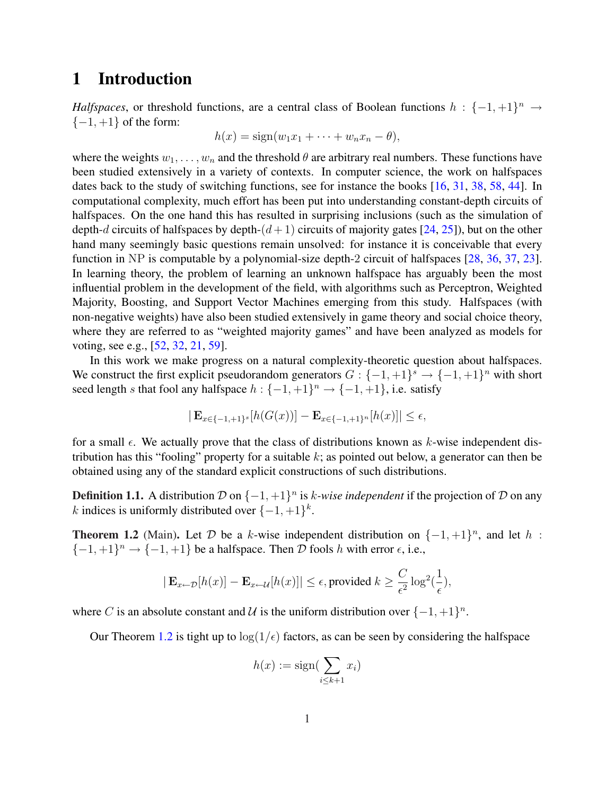### 1 Introduction

*Halfspaces*, or threshold functions, are a central class of Boolean functions  $h: \{-1, +1\}^n \rightarrow$  $\{-1, +1\}$  of the form:

$$
h(x) = sign(w_1x_1 + \cdots + w_nx_n - \theta),
$$

where the weights  $w_1, \ldots, w_n$  and the threshold  $\theta$  are arbitrary real numbers. These functions have been studied extensively in a variety of contexts. In computer science, the work on halfspaces dates back to the study of switching functions, see for instance the books [16, 31, 38, 58, 44]. In computational complexity, much effort has been put into understanding constant-depth circuits of halfspaces. On the one hand this has resulted in surprising inclusions (such as the simulation of depth-d circuits of halfspaces by depth- $(d+1)$  circuits of majority gates [24, 25]), but on the other hand many seemingly basic questions remain unsolved: for instance it is conceivable that every function in NP is computable by a polynomial-size depth-2 circuit of halfspaces [28, 36, 37, 23]. In learning theory, the problem of learning an unknown halfspace has arguably been the most influential problem in the development of the field, with algorithms such as Perceptron, Weighted Majority, Boosting, and Support Vector Machines emerging from this study. Halfspaces (with non-negative weights) have also been studied extensively in game theory and social choice theory, where they are referred to as "weighted majority games" and have been analyzed as models for voting, see e.g., [52, 32, 21, 59].

In this work we make progress on a natural complexity-theoretic question about halfspaces. We construct the first explicit pseudorandom generators  $G: \{-1,+1\}^s \to \{-1,+1\}^n$  with short seed length s that fool any halfspace  $h: \{-1, +1\}^n \rightarrow \{-1, +1\}$ , i.e. satisfy

$$
|\mathbf{E}_{x \in \{-1, +1\}^s}[h(G(x))] - \mathbf{E}_{x \in \{-1, +1\}^n}[h(x)]| \le \epsilon,
$$

for a small  $\epsilon$ . We actually prove that the class of distributions known as k-wise independent distribution has this "fooling" property for a suitable  $k$ ; as pointed out below, a generator can then be obtained using any of the standard explicit constructions of such distributions.

**Definition 1.1.** A distribution  $D$  on  $\{-1, +1\}^n$  is k-wise independent if the projection of  $D$  on any k indices is uniformly distributed over  $\{-1,+1\}^k$ .

**Theorem 1.2** (Main). Let D be a k-wise independent distribution on  $\{-1, +1\}^n$ , and let h:  $\{-1,+1\}$ <sup>n</sup>  $\rightarrow$   $\{-1,+1\}$  be a halfspace. Then D fools h with error  $\epsilon$ , i.e.,

$$
|\mathbf{E}_{x \leftarrow \mathcal{D}}[h(x)] - \mathbf{E}_{x \leftarrow \mathcal{U}}[h(x)]| \le \epsilon
$$
, provided  $k \ge \frac{C}{\epsilon^2} \log^2(\frac{1}{\epsilon})$ ,

where C is an absolute constant and U is the uniform distribution over  $\{-1, +1\}^n$ .

Our Theorem 1.2 is tight up to  $\log(1/\epsilon)$  factors, as can be seen by considering the halfspace

$$
h(x) := \text{sign}(\sum_{i \le k+1} x_i)
$$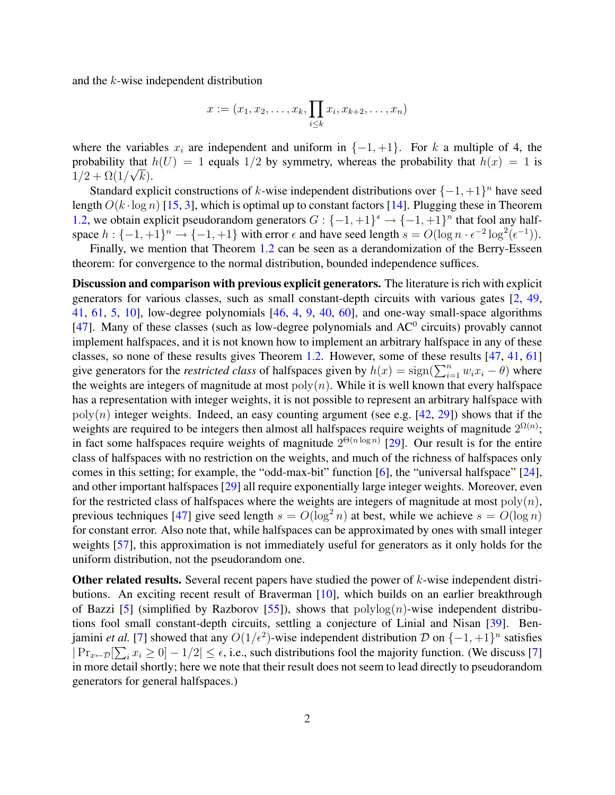and the k-wise independent distribution

$$
x := (x_1, x_2, \dots, x_k, \prod_{i \leq k} x_i, x_{k+2}, \dots, x_n)
$$

where the variables  $x_i$  are independent and uniform in  $\{-1, +1\}$ . For k a multiple of 4, the probability that  $h(U) = 1$  equals 1/2 by symmetry, whereas the probability that  $h(x) = 1$  is  $1/2 + \Omega(1/\sqrt{k}).$ 

Standard explicit constructions of k-wise independent distributions over  $\{-1, +1\}^n$  have seed length  $O(k \cdot \log n)$  [15, 3], which is optimal up to constant factors [14]. Plugging these in Theorem 1.2, we obtain explicit pseudorandom generators  $G: \{-1, +1\}^s \rightarrow \{-1, +1\}^n$  that fool any halfspace  $h: \{-1,+1\}^n \to \{-1,+1\}$  with error  $\epsilon$  and have seed length  $s = O(\log n \cdot \epsilon^{-2} \log^2(\epsilon^{-1}))$ .

Finally, we mention that Theorem 1.2 can be seen as a derandomization of the Berry-Esseen theorem: for convergence to the normal distribution, bounded independence suffices.

Discussion and comparison with previous explicit generators. The literature is rich with explicit generators for various classes, such as small constant-depth circuits with various gates [2, 49, 41, 61, 5, 10], low-degree polynomials [46, 4, 9, 40, 60], and one-way small-space algorithms [47]. Many of these classes (such as low-degree polynomials and  $AC^0$  circuits) provably cannot implement halfspaces, and it is not known how to implement an arbitrary halfspace in any of these classes, so none of these results gives Theorem 1.2. However, some of these results [47, 41, 61] classes, so none of these results gives Theorem 1.2. However, some of these results  $[47, 41, 01]$  give generators for the *restricted class* of halfspaces given by  $h(x) = sign(\sum_{i=1}^{n} w_i x_i - \theta)$  where the weights are integers of magnitude at most  $poly(n)$ . While it is well known that every halfspace has a representation with integer weights, it is not possible to represent an arbitrary halfspace with  $poly(n)$  integer weights. Indeed, an easy counting argument (see e.g. [42, 29]) shows that if the weights are required to be integers then almost all halfspaces require weights of magnitude  $2^{\Omega(n)}$ ; in fact some halfspaces require weights of magnitude  $2^{\Theta(n \log n)}$  [29]. Our result is for the entire class of halfspaces with no restriction on the weights, and much of the richness of halfspaces only comes in this setting; for example, the "odd-max-bit" function [6], the "universal halfspace" [24], and other important halfspaces [29] all require exponentially large integer weights. Moreover, even for the restricted class of halfspaces where the weights are integers of magnitude at most  $poly(n)$ , previous techniques [47] give seed length  $s = O(\log^2 n)$  at best, while we achieve  $s = O(\log n)$ for constant error. Also note that, while halfspaces can be approximated by ones with small integer weights [57], this approximation is not immediately useful for generators as it only holds for the uniform distribution, not the pseudorandom one.

**Other related results.** Several recent papers have studied the power of  $k$ -wise independent distributions. An exciting recent result of Braverman [10], which builds on an earlier breakthrough of Bazzi [5] (simplified by Razborov [55]), shows that  $\text{polylog}(n)$ -wise independent distributions fool small constant-depth circuits, settling a conjecture of Linial and Nisan [39]. Benjamini *et al.* [7] showed that any  $O(1/\epsilon^2)$ -wise independent distribution  $\mathcal{D}$  on  $\{-1, +1\}^n$  satisfies  $|\Pr_{x \leftarrow \mathcal{D}}[\sum_i x_i \geq 0] - 1/2| \leq \epsilon$ , i.e., such distributions fool the majority function. (We discuss [7] in more detail shortly; here we note that their result does not seem to lead directly to pseudorandom generators for general halfspaces.)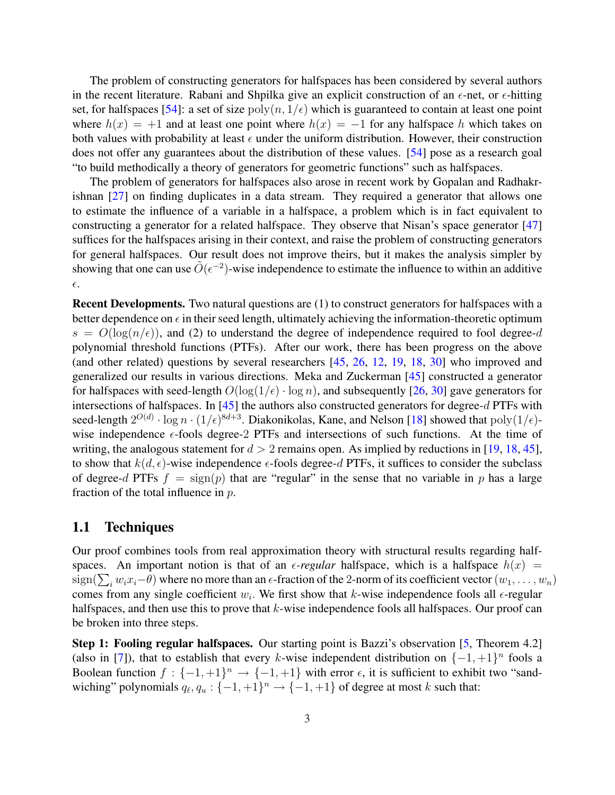The problem of constructing generators for halfspaces has been considered by several authors in the recent literature. Rabani and Shpilka give an explicit construction of an  $\epsilon$ -net, or  $\epsilon$ -hitting set, for halfspaces [54]: a set of size  $poly(n, 1/\epsilon)$  which is guaranteed to contain at least one point where  $h(x) = +1$  and at least one point where  $h(x) = -1$  for any halfspace h which takes on both values with probability at least  $\epsilon$  under the uniform distribution. However, their construction does not offer any guarantees about the distribution of these values. [54] pose as a research goal "to build methodically a theory of generators for geometric functions" such as halfspaces.

The problem of generators for halfspaces also arose in recent work by Gopalan and Radhakrishnan [27] on finding duplicates in a data stream. They required a generator that allows one to estimate the influence of a variable in a halfspace, a problem which is in fact equivalent to constructing a generator for a related halfspace. They observe that Nisan's space generator [47] suffices for the halfspaces arising in their context, and raise the problem of constructing generators for general halfspaces. Our result does not improve theirs, but it makes the analysis simpler by showing that one can use  $\tilde{O}(\epsilon^{-2})$ -wise independence to estimate the influence to within an additive  $\epsilon.$ 

Recent Developments. Two natural questions are (1) to construct generators for halfspaces with a better dependence on  $\epsilon$  in their seed length, ultimately achieving the information-theoretic optimum  $s = O(\log(n/\epsilon))$ , and (2) to understand the degree of independence required to fool degree-d polynomial threshold functions (PTFs). After our work, there has been progress on the above (and other related) questions by several researchers [45, 26, 12, 19, 18, 30] who improved and generalized our results in various directions. Meka and Zuckerman [45] constructed a generator for halfspaces with seed-length  $O(\log(1/\epsilon) \cdot \log n)$ , and subsequently [26, 30] gave generators for intersections of halfspaces. In [45] the authors also constructed generators for degree-d PTFs with seed-length  $2^{O(d)} \cdot \log n \cdot (1/\epsilon)^{8d+3}$ . Diakonikolas, Kane, and Nelson [18] showed that  $\text{poly}(1/\epsilon)$ wise independence  $\epsilon$ -fools degree-2 PTFs and intersections of such functions. At the time of writing, the analogous statement for  $d > 2$  remains open. As implied by reductions in [19, 18, 45], to show that  $k(d, \epsilon)$ -wise independence  $\epsilon$ -fools degree-d PTFs, it suffices to consider the subclass of degree-d PTFs  $f = sign(p)$  that are "regular" in the sense that no variable in p has a large fraction of the total influence in  $p$ .

#### 1.1 Techniques

Our proof combines tools from real approximation theory with structural results regarding halfspaces. An important notion is that of an  $\epsilon$ -regular halfspace, which is a halfspace  $h(x)$  = spaces. An important notion is that of an e-*regular* narispace, which is a harispace  $n(x) =$ <br>sign( $\sum_i w_i x_i - \theta$ ) where no more than an  $\epsilon$ -fraction of the 2-norm of its coefficient vector  $(w_1, \ldots, w_n)$ comes from any single coefficient  $w_i$ . We first show that k-wise independence fools all  $\epsilon$ -regular halfspaces, and then use this to prove that  $k$ -wise independence fools all halfspaces. Our proof can be broken into three steps.

Step 1: Fooling regular halfspaces. Our starting point is Bazzi's observation [5, Theorem 4.2] (also in [7]), that to establish that every k-wise independent distribution on  $\{-1, +1\}^n$  fools a Boolean function  $f: \{-1, +1\}^n \to \{-1, +1\}$  with error  $\epsilon$ , it is sufficient to exhibit two "sandwiching" polynomials  $q_\ell, q_u : \{-1, +1\}^n \to \{-1, +1\}$  of degree at most k such that: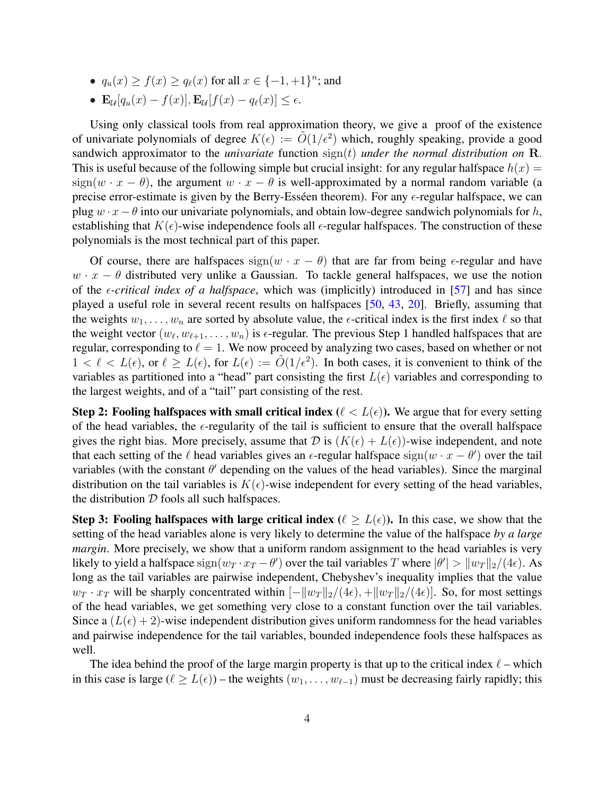- $q_u(x) \ge f(x) \ge q_\ell(x)$  for all  $x \in \{-1, +1\}^n$ ; and
- $\mathbf{E}_{\mathcal{U}}[q_u(x) f(x)], \mathbf{E}_{\mathcal{U}}[f(x) q_{\ell}(x)] < \epsilon.$

Using only classical tools from real approximation theory, we give a proof of the existence of univariate polynomials of degree  $K(\epsilon) := \tilde{O}(1/\epsilon^2)$  which, roughly speaking, provide a good sandwich approximator to the *univariate* function sign(t) *under the normal distribution on* R. This is useful because of the following simple but crucial insight: for any regular halfspace  $h(x) =$ sign(w · x −  $\theta$ ), the argument w · x −  $\theta$  is well-approximated by a normal random variable (a precise error-estimate is given by the Berry-Esséen theorem). For any  $\epsilon$ -regular halfspace, we can plug  $w \cdot x - \theta$  into our univariate polynomials, and obtain low-degree sandwich polynomials for h, establishing that  $K(\epsilon)$ -wise independence fools all  $\epsilon$ -regular halfspaces. The construction of these polynomials is the most technical part of this paper.

Of course, there are halfspaces sign( $w \cdot x - \theta$ ) that are far from being  $\epsilon$ -regular and have  $w \cdot x - \theta$  distributed very unlike a Gaussian. To tackle general halfspaces, we use the notion of the  $\epsilon$ -*critical index of a halfspace*, which was (implicitly) introduced in [57] and has since played a useful role in several recent results on halfspaces [50, 43, 20]. Briefly, assuming that the weights  $w_1, \ldots, w_n$  are sorted by absolute value, the  $\epsilon$ -critical index is the first index  $\ell$  so that the weight vector  $(w_\ell, w_{\ell+1}, \ldots, w_n)$  is  $\epsilon$ -regular. The previous Step 1 handled halfspaces that are regular, corresponding to  $\ell = 1$ . We now proceed by analyzing two cases, based on whether or not  $1 < \ell < L(\epsilon)$ , or  $\ell \ge L(\epsilon)$ , for  $L(\epsilon) := \tilde{O}(1/\epsilon^2)$ . In both cases, it is convenient to think of the variables as partitioned into a "head" part consisting the first  $L(\epsilon)$  variables and corresponding to the largest weights, and of a "tail" part consisting of the rest.

Step 2: Fooling halfspaces with small critical index ( $\ell < L(\epsilon)$ ). We argue that for every setting of the head variables, the  $\epsilon$ -regularity of the tail is sufficient to ensure that the overall halfspace gives the right bias. More precisely, assume that D is  $(K(\epsilon) + L(\epsilon))$ -wise independent, and note that each setting of the  $\ell$  head variables gives an  $\epsilon$ -regular halfspace  $sign(w \cdot x - \theta')$  over the tail variables (with the constant  $\theta'$  depending on the values of the head variables). Since the marginal distribution on the tail variables is  $K(\epsilon)$ -wise independent for every setting of the head variables, the distribution  $D$  fools all such halfspaces.

Step 3: Fooling halfspaces with large critical index ( $\ell \geq L(\epsilon)$ ). In this case, we show that the setting of the head variables alone is very likely to determine the value of the halfspace *by a large margin*. More precisely, we show that a uniform random assignment to the head variables is very likely to yield a halfspace  $sign(w_T \cdot x_T - \theta')$  over the tail variables T where  $|\theta'| > |w_T||_2/(4\epsilon)$ . As long as the tail variables are pairwise independent, Chebyshev's inequality implies that the value  $w_T \cdot x_T$  will be sharply concentrated within  $[-||w_T||_2/(4\epsilon), +||w_T||_2/(4\epsilon)]$ . So, for most settings of the head variables, we get something very close to a constant function over the tail variables. Since a  $(L(\epsilon) + 2)$ -wise independent distribution gives uniform randomness for the head variables and pairwise independence for the tail variables, bounded independence fools these halfspaces as well.

The idea behind the proof of the large margin property is that up to the critical index  $\ell$  – which in this case is large ( $\ell \ge L(\epsilon)$ ) – the weights  $(w_1, \ldots, w_{\ell-1})$  must be decreasing fairly rapidly; this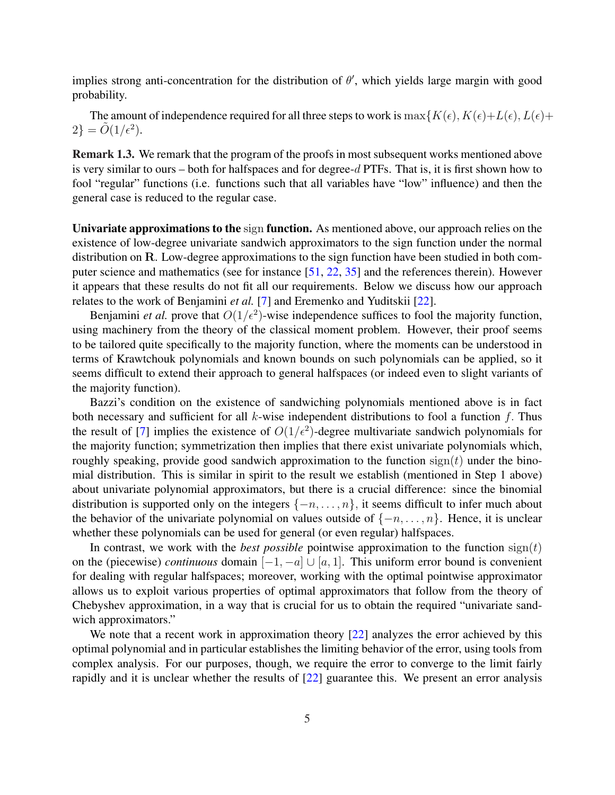implies strong anti-concentration for the distribution of  $\theta'$ , which yields large margin with good probability.

The amount of independence required for all three steps to work is  $\max\{K(\epsilon), K(\epsilon)+L(\epsilon), L(\epsilon)+L(\epsilon)\}$  $2\} = \tilde{O}(1/\epsilon^2).$ 

Remark 1.3. We remark that the program of the proofs in most subsequent works mentioned above is very similar to ours – both for halfspaces and for degree- $d$  PTFs. That is, it is first shown how to fool "regular" functions (i.e. functions such that all variables have "low" influence) and then the general case is reduced to the regular case.

Univariate approximations to the sign function. As mentioned above, our approach relies on the existence of low-degree univariate sandwich approximators to the sign function under the normal distribution on R. Low-degree approximations to the sign function have been studied in both computer science and mathematics (see for instance [51, 22, 35] and the references therein). However it appears that these results do not fit all our requirements. Below we discuss how our approach relates to the work of Benjamini *et al.* [7] and Eremenko and Yuditskii [22].

Benjamini *et al.* prove that  $O(1/\epsilon^2)$ -wise independence suffices to fool the majority function, using machinery from the theory of the classical moment problem. However, their proof seems to be tailored quite specifically to the majority function, where the moments can be understood in terms of Krawtchouk polynomials and known bounds on such polynomials can be applied, so it seems difficult to extend their approach to general halfspaces (or indeed even to slight variants of the majority function).

Bazzi's condition on the existence of sandwiching polynomials mentioned above is in fact both necessary and sufficient for all  $k$ -wise independent distributions to fool a function  $f$ . Thus the result of [7] implies the existence of  $O(1/\epsilon^2)$ -degree multivariate sandwich polynomials for the majority function; symmetrization then implies that there exist univariate polynomials which, roughly speaking, provide good sandwich approximation to the function  $sign(t)$  under the binomial distribution. This is similar in spirit to the result we establish (mentioned in Step 1 above) about univariate polynomial approximators, but there is a crucial difference: since the binomial distribution is supported only on the integers  $\{-n, \ldots, n\}$ , it seems difficult to infer much about the behavior of the univariate polynomial on values outside of  $\{-n, \ldots, n\}$ . Hence, it is unclear whether these polynomials can be used for general (or even regular) halfspaces.

In contrast, we work with the *best possible* pointwise approximation to the function  $sign(t)$ on the (piecewise) *continuous* domain  $[-1, -a] \cup [a, 1]$ . This uniform error bound is convenient for dealing with regular halfspaces; moreover, working with the optimal pointwise approximator allows us to exploit various properties of optimal approximators that follow from the theory of Chebyshev approximation, in a way that is crucial for us to obtain the required "univariate sandwich approximators."

We note that a recent work in approximation theory  $[22]$  analyzes the error achieved by this optimal polynomial and in particular establishes the limiting behavior of the error, using tools from complex analysis. For our purposes, though, we require the error to converge to the limit fairly rapidly and it is unclear whether the results of [22] guarantee this. We present an error analysis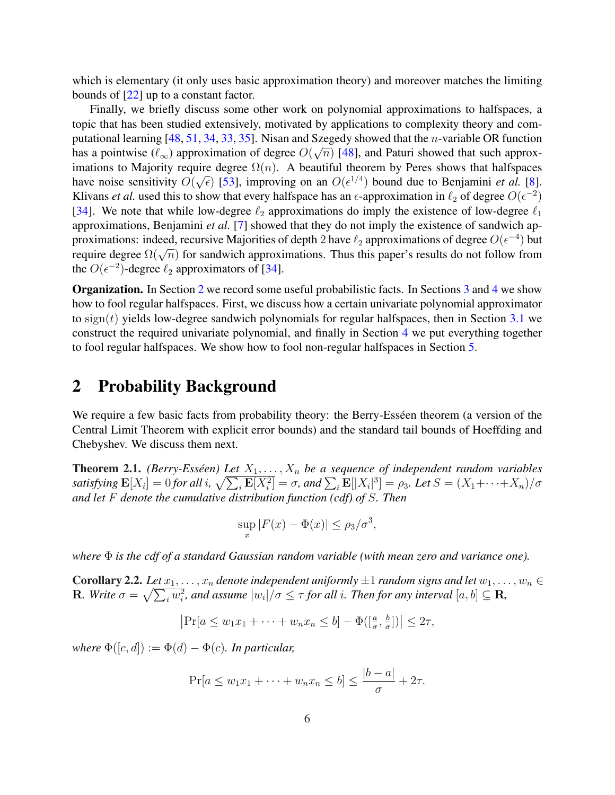which is elementary (it only uses basic approximation theory) and moreover matches the limiting bounds of [22] up to a constant factor.

Finally, we briefly discuss some other work on polynomial approximations to halfspaces, a topic that has been studied extensively, motivated by applications to complexity theory and computational learning [48, 51, 34, 33, 35]. Nisan and Szegedy showed that the *n*-variable OR function has a pointwise  $(\ell_{\infty})$  approximation of degree  $O(\sqrt{n})$  [48], and Paturi showed that such approximations to Majority require degree  $\Omega(n)$ . A beautiful theorem by Peres shows that halfspaces have noise sensitivity  $O(\sqrt{\epsilon})$  [53], improving on an  $O(\epsilon^{1/4})$  bound due to Benjamini *et al.* [8]. Klivans *et al.* used this to show that every halfspace has an  $\epsilon$ -approximation in  $\ell_2$  of degree  $O(\epsilon^{-2})$ [34]. We note that while low-degree  $\ell_2$  approximations do imply the existence of low-degree  $\ell_1$ approximations, Benjamini *et al.* [7] showed that they do not imply the existence of sandwich approximations: indeed, recursive Majorities of depth 2 have  $\ell_2$  approximations of degree  $O(\epsilon^{-4})$  but proximations. Indeed, recursive majorities of depth 2 have  $\ell_2$  approximations of degree  $O(\epsilon)$  but<br>require degree  $\Omega(\sqrt{n})$  for sandwich approximations. Thus this paper's results do not follow from the  $O(\epsilon^{-2})$ -degree  $\ell_2$  approximators of [34].

Organization. In Section 2 we record some useful probabilistic facts. In Sections 3 and 4 we show how to fool regular halfspaces. First, we discuss how a certain univariate polynomial approximator to  $sign(t)$  yields low-degree sandwich polynomials for regular halfspaces, then in Section 3.1 we construct the required univariate polynomial, and finally in Section 4 we put everything together to fool regular halfspaces. We show how to fool non-regular halfspaces in Section 5.

### 2 Probability Background

We require a few basic facts from probability theory: the Berry-Esseen theorem (a version of the Central Limit Theorem with explicit error bounds) and the standard tail bounds of Hoeffding and Chebyshev. We discuss them next.

**Theorem 2.1.** *(Berry-Esséen) Let*  $X_1, \ldots, X_n$  *be a sequence of independent random variables satisfying*  $\mathbf{E}[X_i] = 0$  *for all i*,  $\frac{p}{\sqrt{p}}$  $\frac{X_1,\ldots,X_n}{\sqrt{n}}$  be a sequence of independent random variables<br> $\frac{1}{\sqrt{n}}\mathbf{E}[X_i^2]=\sigma$ , and  $\sum_i \mathbf{E}[|X_i|^3]=\rho_3$ . Let  $S=(X_1+\cdots+X_n)/\sigma$ *and let* F *denote the cumulative distribution function (cdf) of* S*. Then*

$$
\sup_{x} |F(x) - \Phi(x)| \le \rho_3/\sigma^3,
$$

*where* Φ *is the cdf of a standard Gaussian random variable (with mean zero and variance one).*

**Corollary 2.2.** *Let*  $x_1, \ldots, x_n$  *denote independent uniformly*  $\pm 1$  *random signs and let*  $w_1, \ldots, w_n \in \mathbb{R}$ **R**. Write  $\sigma = \sqrt{\sum_i w_i^2}$ , and assume  $|w_i|/\sigma \leq \tau$  for all i. Then for any interval  $[a, b] \subseteq \mathbf{R}$ ,

$$
\left|\Pr[a \le w_1x_1 + \dots + w_nx_n \le b] - \Phi(\left[\frac{a}{\sigma}, \frac{b}{\sigma}\right])\right| \le 2\tau,
$$

*where*  $\Phi([c, d]) := \Phi(d) - \Phi(c)$ *. In particular,* 

$$
\Pr[a \le w_1 x_1 + \dots + w_n x_n \le b] \le \frac{|b-a|}{\sigma} + 2\tau.
$$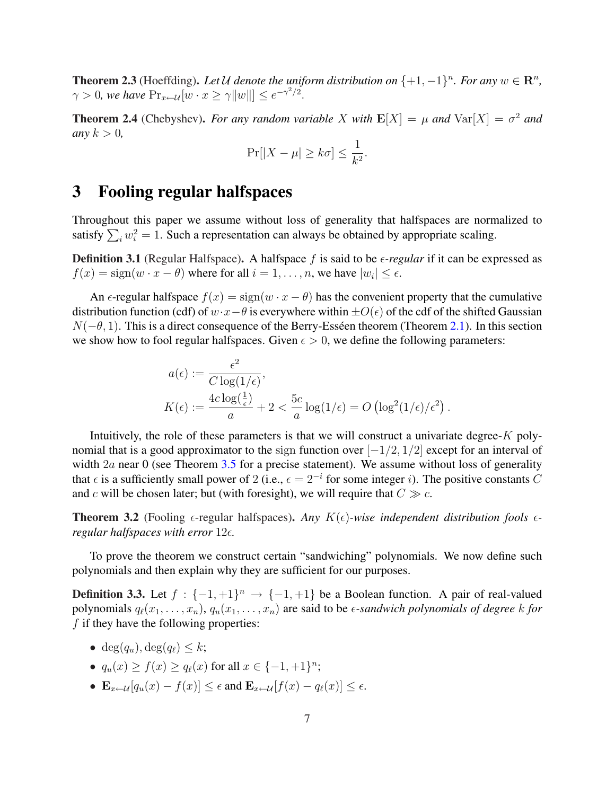**Theorem 2.3** (Hoeffding). Let U denote the uniform distribution on  $\{+1, -1\}^n$ . For any  $w \in \mathbb{R}^n$ ,  $\gamma > 0$ , we have  $Pr_{x \leftarrow \mathcal{U}}[w \cdot x \geq \gamma ||w||] \leq e^{-\gamma^2/2}$ .

**Theorem 2.4** (Chebyshev). *For any random variable X with*  $\mathbf{E}[X] = \mu$  *and*  $\text{Var}[X] = \sigma^2$  *and any*  $k > 0$ ,

$$
\Pr[|X - \mu| \ge k\sigma] \le \frac{1}{k^2}.
$$

#### 3 Fooling regular halfspaces

Throughout this paper we assume without loss of generality that halfspaces are normalized to Imoughout this paper we assume without loss of generality that hanspaces are norm<br>satisfy  $\sum_i w_i^2 = 1$ . Such a representation can always be obtained by appropriate scaling.

**Definition 3.1** (Regular Halfspace). A halfspace f is said to be  $\epsilon$ -regular if it can be expressed as  $f(x) = sign(w \cdot x - \theta)$  where for all  $i = 1, ..., n$ , we have  $|w_i| \le \epsilon$ .

An  $\epsilon$ -regular halfspace  $f(x) = sign(w \cdot x - \theta)$  has the convenient property that the cumulative distribution function (cdf) of  $w \cdot x - \theta$  is everywhere within  $\pm O(\epsilon)$  of the cdf of the shifted Gaussian  $N(-\theta, 1)$ . This is a direct consequence of the Berry-Esséen theorem (Theorem 2.1). In this section we show how to fool regular halfspaces. Given  $\epsilon > 0$ , we define the following parameters:

$$
a(\epsilon) := \frac{\epsilon^2}{C \log(1/\epsilon)},
$$
  
\n
$$
K(\epsilon) := \frac{4c \log(\frac{1}{\epsilon})}{a} + 2 < \frac{5c}{a} \log(1/\epsilon) = O\left(\log^2(1/\epsilon)/\epsilon^2\right).
$$

Intuitively, the role of these parameters is that we will construct a univariate degree- $K$  polynomial that is a good approximator to the sign function over  $[-1/2, 1/2]$  except for an interval of width  $2a$  near 0 (see Theorem 3.5 for a precise statement). We assume without loss of generality that  $\epsilon$  is a sufficiently small power of 2 (i.e.,  $\epsilon = 2^{-i}$  for some integer i). The positive constants C and c will be chosen later; but (with foresight), we will require that  $C \gg c$ .

**Theorem 3.2** (Fooling  $\epsilon$ -regular halfspaces). Any  $K(\epsilon)$ -wise independent distribution fools  $\epsilon$ *regular halfspaces with error*  $12\epsilon$ .

To prove the theorem we construct certain "sandwiching" polynomials. We now define such polynomials and then explain why they are sufficient for our purposes.

**Definition 3.3.** Let  $f : \{-1, +1\}^n \to \{-1, +1\}$  be a Boolean function. A pair of real-valued polynomials  $q_{\ell}(x_1, \ldots, x_n)$ ,  $q_u(x_1, \ldots, x_n)$  are said to be  $\epsilon$ -sandwich polynomials of degree k for  $f$  if they have the following properties:

- deg $(q_u)$ , deg $(q_\ell) \leq k$ ;
- $q_u(x) \ge f(x) \ge q_\ell(x)$  for all  $x \in \{-1, +1\}^n$ ;
- $\mathbf{E}_{x \leftarrow \mathcal{U}}[q_u(x) f(x)] \leq \epsilon$  and  $\mathbf{E}_{x \leftarrow \mathcal{U}}[f(x) q_\ell(x)] \leq \epsilon$ .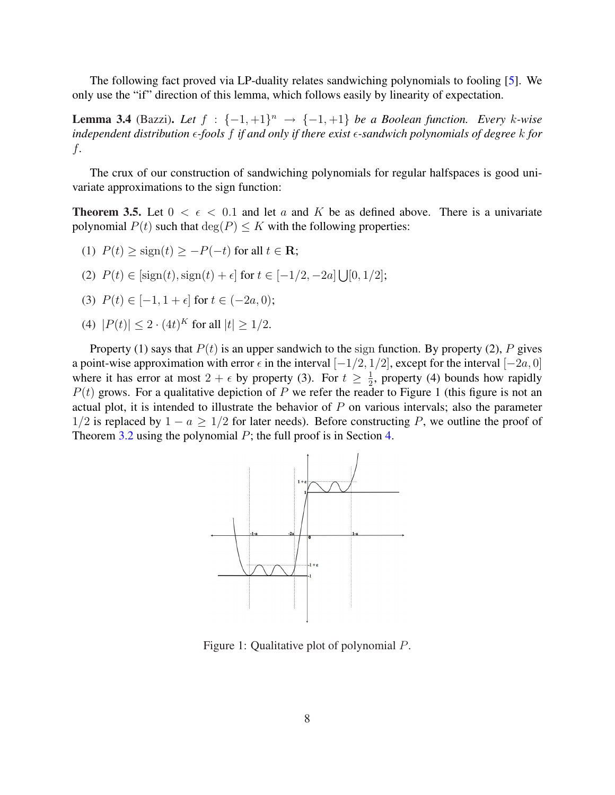The following fact proved via LP-duality relates sandwiching polynomials to fooling [5]. We only use the "if" direction of this lemma, which follows easily by linearity of expectation.

**Lemma 3.4** (Bazzi). Let  $f : \{-1, +1\}^n \rightarrow \{-1, +1\}$  be a Boolean function. Every k-wise *independent distribution*  $\epsilon$ -fools f *if and only if there exist*  $\epsilon$ -sandwich polynomials of degree k for f*.*

The crux of our construction of sandwiching polynomials for regular halfspaces is good univariate approximations to the sign function:

**Theorem 3.5.** Let  $0 < \epsilon < 0.1$  and let a and K be as defined above. There is a univariate polynomial  $P(t)$  such that  $\deg(P) \leq K$  with the following properties:

- (1)  $P(t) >$  sign(t) > -P(-t) for all  $t \in \mathbf{R}$ ;
- (2)  $P(t) \in [\text{sign}(t), \text{sign}(t) + \epsilon]$  for  $t \in [-1/2, -2a]$ S  $[0, 1/2];$
- (3)  $P(t) \in [-1, 1 + \epsilon]$  for  $t \in (-2a, 0)$ ;
- (4)  $|P(t)| \leq 2 \cdot (4t)^K$  for all  $|t| \geq 1/2$ .

Property (1) says that  $P(t)$  is an upper sandwich to the sign function. By property (2), P gives a point-wise approximation with error  $\epsilon$  in the interval  $[-1/2, 1/2]$ , except for the interval  $[-2a, 0]$ where it has error at most  $2 + \epsilon$  by property (3). For  $t \geq \frac{1}{2}$  $\frac{1}{2}$ , property (4) bounds how rapidly  $P(t)$  grows. For a qualitative depiction of P we refer the reader to Figure 1 (this figure is not an actual plot, it is intended to illustrate the behavior of  $P$  on various intervals; also the parameter  $1/2$  is replaced by  $1 - a \geq 1/2$  for later needs). Before constructing P, we outline the proof of Theorem 3.2 using the polynomial  $P$ ; the full proof is in Section 4.



Figure 1: Qualitative plot of polynomial P.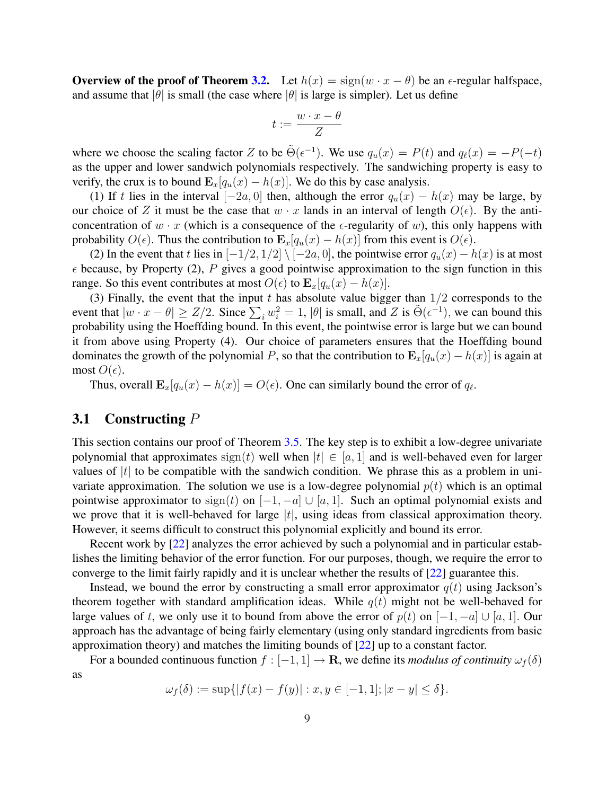Overview of the proof of Theorem 3.2. Let  $h(x) = sign(w \cdot x - \theta)$  be an  $\epsilon$ -regular halfspace, and assume that  $|\theta|$  is small (the case where  $|\theta|$  is large is simpler). Let us define

$$
t:=\frac{w\cdot x-\theta}{Z}
$$

where we choose the scaling factor Z to be  $\tilde{\Theta}(\epsilon^{-1})$ . We use  $q_u(x) = P(t)$  and  $q_\ell(x) = -P(-t)$ as the upper and lower sandwich polynomials respectively. The sandwiching property is easy to verify, the crux is to bound  $\mathbf{E}_x[q_u(x) - h(x)]$ . We do this by case analysis.

(1) If t lies in the interval  $[-2a, 0]$  then, although the error  $q_u(x) - h(x)$  may be large, by our choice of Z it must be the case that  $w \cdot x$  lands in an interval of length  $O(\epsilon)$ . By the anticoncentration of  $w \cdot x$  (which is a consequence of the  $\epsilon$ -regularity of w), this only happens with probability  $O(\epsilon)$ . Thus the contribution to  $\mathbf{E}_x[q_u(x) - h(x)]$  from this event is  $O(\epsilon)$ .

(2) In the event that t lies in  $[-1/2, 1/2] \setminus [-2a, 0]$ , the pointwise error  $q_u(x) - h(x)$  is at most  $\epsilon$  because, by Property (2), P gives a good pointwise approximation to the sign function in this range. So this event contributes at most  $O(\epsilon)$  to  $\mathbf{E}_x[q_u(x) - h(x)]$ .

(3) Finally, the event that the input t has absolute value bigger than  $1/2$  corresponds to the (3) Finary, the event that the input t has absolute value bigger than  $1/2$  corresponds to the event that  $|w \cdot x - \theta| \geq Z/2$ . Since  $\sum_i w_i^2 = 1$ ,  $|\theta|$  is small, and Z is  $\tilde{\Theta}(\epsilon^{-1})$ , we can bound this probability using the Hoeffding bound. In this event, the pointwise error is large but we can bound it from above using Property (4). Our choice of parameters ensures that the Hoeffding bound dominates the growth of the polynomial P, so that the contribution to  $\mathbf{E}_{x}[q_u(x) - h(x)]$  is again at most  $O(\epsilon)$ .

Thus, overall  $\mathbf{E}_x[q_u(x) - h(x)] = O(\epsilon)$ . One can similarly bound the error of  $q_\ell$ .

#### **3.1** Constructing  $P$

This section contains our proof of Theorem 3.5. The key step is to exhibit a low-degree univariate polynomial that approximates  $sign(t)$  well when  $|t| \in [a, 1]$  and is well-behaved even for larger values of  $|t|$  to be compatible with the sandwich condition. We phrase this as a problem in univariate approximation. The solution we use is a low-degree polynomial  $p(t)$  which is an optimal pointwise approximator to  $sign(t)$  on  $[-1, -a] \cup [a, 1]$ . Such an optimal polynomial exists and we prove that it is well-behaved for large  $|t|$ , using ideas from classical approximation theory. However, it seems difficult to construct this polynomial explicitly and bound its error.

Recent work by [22] analyzes the error achieved by such a polynomial and in particular establishes the limiting behavior of the error function. For our purposes, though, we require the error to converge to the limit fairly rapidly and it is unclear whether the results of [22] guarantee this.

Instead, we bound the error by constructing a small error approximator  $q(t)$  using Jackson's theorem together with standard amplification ideas. While  $q(t)$  might not be well-behaved for large values of t, we only use it to bound from above the error of  $p(t)$  on  $[-1, -a] \cup [a, 1]$ . Our approach has the advantage of being fairly elementary (using only standard ingredients from basic approximation theory) and matches the limiting bounds of [22] up to a constant factor.

For a bounded continuous function  $f: [-1,1] \to \mathbf{R}$ , we define its *modulus of continuity*  $\omega_f(\delta)$ as

$$
\omega_f(\delta) := \sup\{|f(x) - f(y)| : x, y \in [-1, 1]; |x - y| \le \delta\}.
$$

9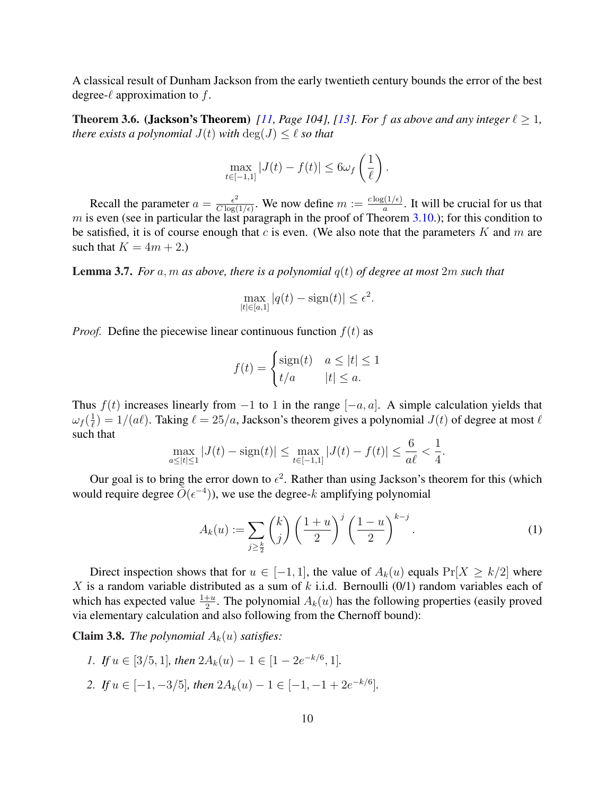A classical result of Dunham Jackson from the early twentieth century bounds the error of the best degree- $\ell$  approximation to f.

**Theorem 3.6. (Jackson's Theorem)** [11, Page 104], [13]. For f as above and any integer  $\ell \geq 1$ , *there exists a polynomial*  $J(t)$  *with*  $\deg(J) \leq \ell$  *so that* 

$$
\max_{t \in [-1,1]} |J(t) - f(t)| \le 6\omega_f \left(\frac{1}{\ell}\right).
$$

Recall the parameter  $a = \frac{\epsilon^2}{C \log \epsilon}$  $\frac{\epsilon^2}{C \log(1/\epsilon)}$ . We now define  $m := \frac{c \log(1/\epsilon)}{a}$  $\frac{E(1/\epsilon)}{a}$ . It will be crucial for us that m is even (see in particular the last paragraph in the proof of Theorem 3.10.); for this condition to be satisfied, it is of course enough that  $c$  is even. (We also note that the parameters  $K$  and  $m$  are such that  $K = 4m + 2$ .

Lemma 3.7. *For* a, m *as above, there is a polynomial* q(t) *of degree at most* 2m *such that*

$$
\max_{|t| \in [a,1]} |q(t) - \text{sign}(t)| \le \epsilon^2.
$$

*Proof.* Define the piecewise linear continuous function  $f(t)$  as

$$
f(t) = \begin{cases} \text{sign}(t) & a \le |t| \le 1\\ t/a & |t| \le a. \end{cases}
$$

Thus  $f(t)$  increases linearly from  $-1$  to 1 in the range  $[-a, a]$ . A simple calculation yields that  $\omega_f(\frac{1}{\ell})$  $\frac{1}{\ell}) = 1/(a\ell)$ . Taking  $\ell = 25/a$ , Jackson's theorem gives a polynomial  $J(t)$  of degree at most  $\ell$ such that

$$
\max_{a \le |t| \le 1} |J(t) - \text{sign}(t)| \le \max_{t \in [-1,1]} |J(t) - f(t)| \le \frac{6}{a\ell} < \frac{1}{4}.
$$

Our goal is to bring the error down to  $\epsilon^2$ . Rather than using Jackson's theorem for this (which would require degree  $\tilde{\tilde{O}}(\epsilon^{-4})$ , we use the degree-k amplifying polynomial

$$
A_k(u) := \sum_{j \geq \frac{k}{2}} \binom{k}{j} \left(\frac{1+u}{2}\right)^j \left(\frac{1-u}{2}\right)^{k-j}.
$$
 (1)

Direct inspection shows that for  $u \in [-1,1]$ , the value of  $A_k(u)$  equals  $Pr[X \ge k/2]$  where X is a random variable distributed as a sum of  $k$  i.i.d. Bernoulli (0/1) random variables each of which has expected value  $\frac{1+u}{2}$ . The polynomial  $A_k(u)$  has the following properties (easily proved via elementary calculation and also following from the Chernoff bound):

**Claim 3.8.** *The polynomial*  $A_k(u)$  *satisfies:* 

*1. If*  $u \in [3/5, 1]$ *, then*  $2A_k(u) - 1 \in [1 - 2e^{-k/6}, 1]$ *.* 2. *If*  $u \in [-1, -3/5]$ *, then*  $2A_k(u) - 1 \in [-1, -1 + 2e^{-k/6}]$ *.*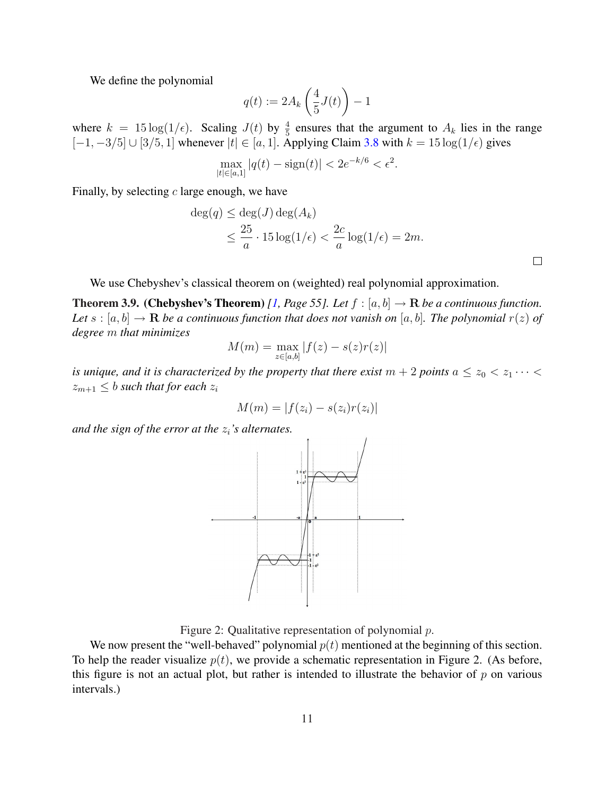We define the polynomial

$$
q(t) := 2A_k \left(\frac{4}{5}J(t)\right) - 1
$$

where  $k = 15 \log(1/\epsilon)$ . Scaling  $J(t)$  by  $\frac{4}{5}$  ensures that the argument to  $A_k$  lies in the range  $[-1, -3/5] \cup [3/5, 1]$  whenever  $|t| \in [a, 1]$ . Applying Claim 3.8 with  $k = 15 \log(1/\epsilon)$  gives

$$
\max_{|t| \in [a,1]} |q(t) - \text{sign}(t)| < 2e^{-k/6} < \epsilon^2.
$$

Finally, by selecting  $c$  large enough, we have

$$
\deg(q) \le \deg(J) \deg(A_k)
$$
  

$$
\le \frac{25}{a} \cdot 15 \log(1/\epsilon) < \frac{2c}{a} \log(1/\epsilon) = 2m.
$$

We use Chebyshev's classical theorem on (weighted) real polynomial approximation.

**Theorem 3.9. (Chebyshev's Theorem)** [1, Page 55]. Let  $f : [a, b] \rightarrow \mathbb{R}$  be a continuous function. *Let*  $s : [a, b] \to \mathbf{R}$  *be a continuous function that does not vanish on* [a, b]. The polynomial  $r(z)$  of *degree* m *that minimizes*

$$
M(m) = \max_{z \in [a,b]} |f(z) - s(z)r(z)|
$$

*is unique, and it is characterized by the property that there exist*  $m + 2$  *points*  $a \le z_0 < z_1 \cdots$  $z_{m+1} \leq b$  *such that for each*  $z_i$ 

$$
M(m) = |f(z_i) - s(z_i)r(z_i)|
$$

*and the sign of the error at the*  $z_i$ *'s alternates.* 



Figure 2: Qualitative representation of polynomial  $p$ .

We now present the "well-behaved" polynomial  $p(t)$  mentioned at the beginning of this section. To help the reader visualize  $p(t)$ , we provide a schematic representation in Figure 2. (As before, this figure is not an actual plot, but rather is intended to illustrate the behavior of  $p$  on various intervals.)

 $\Box$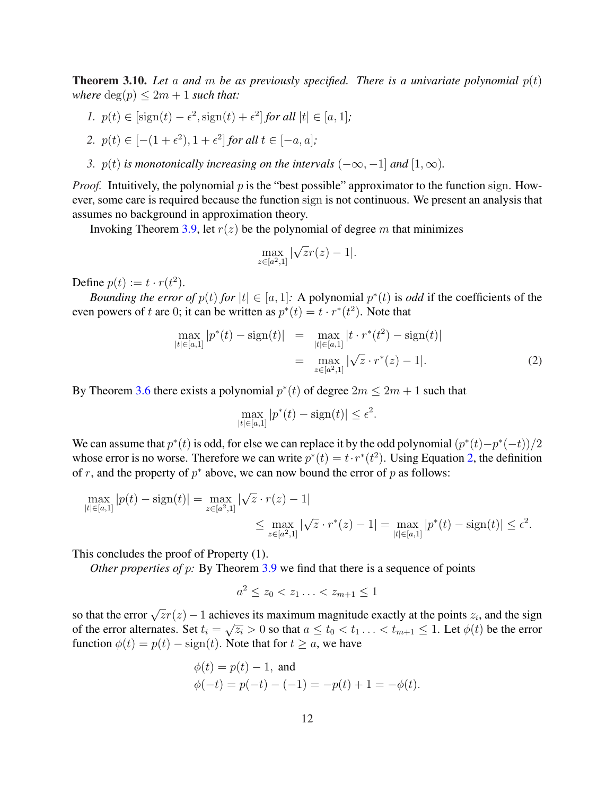**Theorem 3.10.** Let a and m be as previously specified. There is a univariate polynomial  $p(t)$ *where*  $deg(p) \leq 2m + 1$  *such that:* 

- *1.*  $p(t) \in [\text{sign}(t) \epsilon^2, \text{sign}(t) + \epsilon^2]$  for all  $|t| \in [a, 1]$ ;
- 2.  $p(t) \in [-(1+\epsilon^2), 1+\epsilon^2]$  *for all*  $t \in [-a, a]$ *;*
- *3.*  $p(t)$  *is monotonically increasing on the intervals*  $(-\infty, -1]$  *and*  $[1, \infty)$ *.*

*Proof.* Intuitively, the polynomial p is the "best possible" approximator to the function sign. However, some care is required because the function sign is not continuous. We present an analysis that assumes no background in approximation theory.

Invoking Theorem 3.9, let  $r(z)$  be the polynomial of degree m that minimizes

$$
\max_{z \in [a^2,1]} |\sqrt{z}r(z) - 1|.
$$

Define  $p(t) := t \cdot r(t^2)$ .

*Bounding the error of*  $p(t)$  *for*  $|t| \in [a, 1]$ : A polynomial  $p^*(t)$  is *odd* if the coefficients of the even powers of t are 0; it can be written as  $p^*(t) = t \cdot r^*(t^2)$ . Note that

$$
\max_{|t| \in [a,1]} |p^*(t) - \text{sign}(t)| = \max_{|t| \in [a,1]} |t \cdot r^*(t^2) - \text{sign}(t)|
$$
  
= 
$$
\max_{z \in [a^2,1]} |\sqrt{z} \cdot r^*(z) - 1|.
$$
 (2)

By Theorem 3.6 there exists a polynomial  $p^*(t)$  of degree  $2m \leq 2m + 1$  such that

$$
\max_{|t| \in [a,1]} |p^*(t) - \text{sign}(t)| \le \epsilon^2.
$$

We can assume that  $p^*(t)$  is odd, for else we can replace it by the odd polynomial  $(p^*(t) - p^*(-t))/2$ whose error is no worse. Therefore we can write  $p^*(t) = t \cdot r^*(t^2)$ . Using Equation 2, the definition of r, and the property of  $p^*$  above, we can now bound the error of p as follows:

$$
\max_{|t| \in [a,1]} |p(t) - \operatorname{sign}(t)| = \max_{z \in [a^2,1]} |\sqrt{z} \cdot r(z) - 1|
$$
  

$$
\leq \max_{z \in [a^2,1]} |\sqrt{z} \cdot r^*(z) - 1| = \max_{|t| \in [a,1]} |p^*(t) - \operatorname{sign}(t)| \leq \epsilon^2.
$$

This concludes the proof of Property (1).

*Other properties of p:* By Theorem 3.9 we find that there is a sequence of points

$$
a^2 \le z_0 < z_1 \ldots < z_{m+1} \le 1
$$

so that the error  $\sqrt{z}r(z) - 1$  achieves its maximum magnitude exactly at the points  $z_i$ , and the sign of the error alternates. Set  $t_i = \sqrt{z_i} > 0$  so that  $a \le t_0 < t_1 \ldots < t_{m+1} \le 1$ . Let  $\phi(t)$  be the error function  $\phi(t) = p(t) - \text{sign}(t)$ . Note that for  $t > a$ , we have

$$
\phi(t) = p(t) - 1
$$
, and  
\n $\phi(-t) = p(-t) - (-1) = -p(t) + 1 = -\phi(t)$ .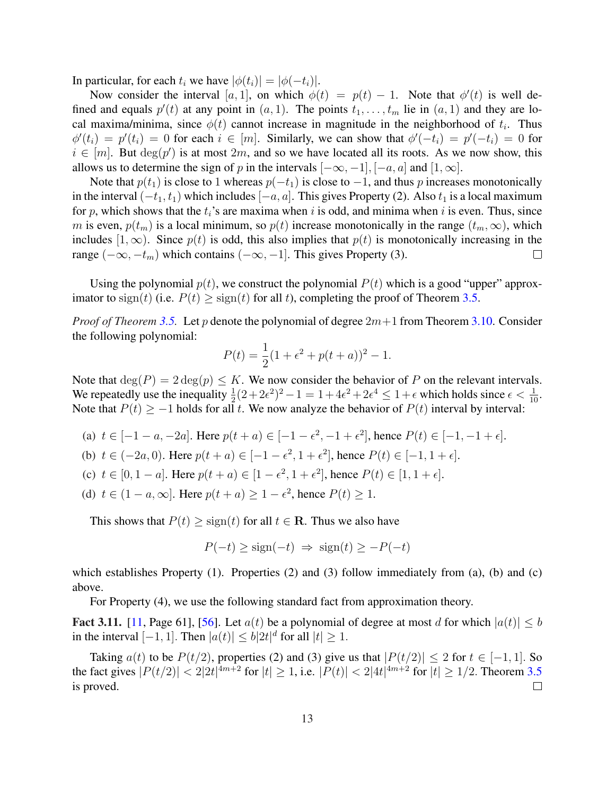In particular, for each  $t_i$  we have  $|\phi(t_i)| = |\phi(-t_i)|$ .

Now consider the interval [a, 1], on which  $\phi(t) = p(t) - 1$ . Note that  $\phi'(t)$  is well defined and equals  $p'(t)$  at any point in  $(a, 1)$ . The points  $t_1, \ldots, t_m$  lie in  $(a, 1)$  and they are local maxima/minima, since  $\phi(t)$  cannot increase in magnitude in the neighborhood of  $t_i$ . Thus  $\phi'(t_i) = p'(t_i) = 0$  for each  $i \in [m]$ . Similarly, we can show that  $\phi'(-t_i) = p'(-t_i) = 0$  for  $i \in [m]$ . But  $deg(p')$  is at most  $2m$ , and so we have located all its roots. As we now show, this allows us to determine the sign of p in the intervals  $[-\infty, -1]$ ,  $[-\alpha, \alpha]$  and  $[1, \infty]$ .

Note that  $p(t_1)$  is close to 1 whereas  $p(-t_1)$  is close to  $-1$ , and thus p increases monotonically in the interval  $(-t_1, t_1)$  which includes  $[-a, a]$ . This gives Property (2). Also  $t_1$  is a local maximum for p, which shows that the  $t_i$ 's are maxima when i is odd, and minima when i is even. Thus, since m is even,  $p(t_m)$  is a local minimum, so  $p(t)$  increase monotonically in the range  $(t_m,\infty)$ , which includes [1, ∞). Since  $p(t)$  is odd, this also implies that  $p(t)$  is monotonically increasing in the range  $(-\infty, -t_m)$  which contains  $(-\infty, -1]$ . This gives Property (3).  $\Box$ 

Using the polynomial  $p(t)$ , we construct the polynomial  $P(t)$  which is a good "upper" approximator to sign(t) (i.e.  $P(t) \geq$  sign(t) for all t), completing the proof of Theorem 3.5.

*Proof of Theorem* 3.5. Let p denote the polynomial of degree  $2m+1$  from Theorem 3.10. Consider the following polynomial:

$$
P(t) = \frac{1}{2}(1 + \epsilon^2 + p(t+a))^2 - 1.
$$

Note that  $deg(P) = 2 deg(p) \leq K$ . We now consider the behavior of P on the relevant intervals. We repeatedly use the inequality  $\frac{1}{2}(2+2\epsilon^2)^2-1=1+4\epsilon^2+2\epsilon^4\leq 1+\epsilon$  which holds since  $\epsilon<\frac{1}{10}$ . Note that  $P(t) \ge -1$  holds for all t. We now analyze the behavior of  $P(t)$  interval by interval:

- (a)  $t \in [-1 a, -2a]$ . Here  $p(t + a) \in [-1 \epsilon^2, -1 + \epsilon^2]$ , hence  $P(t) \in [-1, -1 + \epsilon]$ .
- (b)  $t \in (-2a, 0)$ . Here  $p(t + a) \in [-1 \epsilon^2, 1 + \epsilon^2]$ , hence  $P(t) \in [-1, 1 + \epsilon]$ .
- (c)  $t \in [0, 1 a]$ . Here  $p(t + a) \in [1 \epsilon^2, 1 + \epsilon^2]$ , hence  $P(t) \in [1, 1 + \epsilon]$ .
- (d)  $t \in (1 a, \infty]$ . Here  $p(t + a) \ge 1 \epsilon^2$ , hence  $P(t) \ge 1$ .

This shows that  $P(t) \geq sign(t)$  for all  $t \in \mathbb{R}$ . Thus we also have

$$
P(-t) \ge \text{sign}(-t) \implies \text{sign}(t) \ge -P(-t)
$$

which establishes Property  $(1)$ . Properties  $(2)$  and  $(3)$  follow immediately from  $(a)$ ,  $(b)$  and  $(c)$ above.

For Property (4), we use the following standard fact from approximation theory.

**Fact 3.11.** [11, Page 61], [56]. Let  $a(t)$  be a polynomial of degree at most d for which  $|a(t)| \leq b$ in the interval  $[-1, 1]$ . Then  $|a(t)| \leq b|2t|^d$  for all  $|t| \geq 1$ .

Taking  $a(t)$  to be  $P(t/2)$ , properties (2) and (3) give us that  $|P(t/2)| \le 2$  for  $t \in [-1, 1]$ . So the fact gives  $|P(t/2)| < 2|2t|^{4m+2}$  for  $|t| \ge 1$ , i.e.  $|P(t)| < 2|4t|^{4m+2}$  for  $|t| \ge 1/2$ . Theorem 3.5 is proved.  $\Box$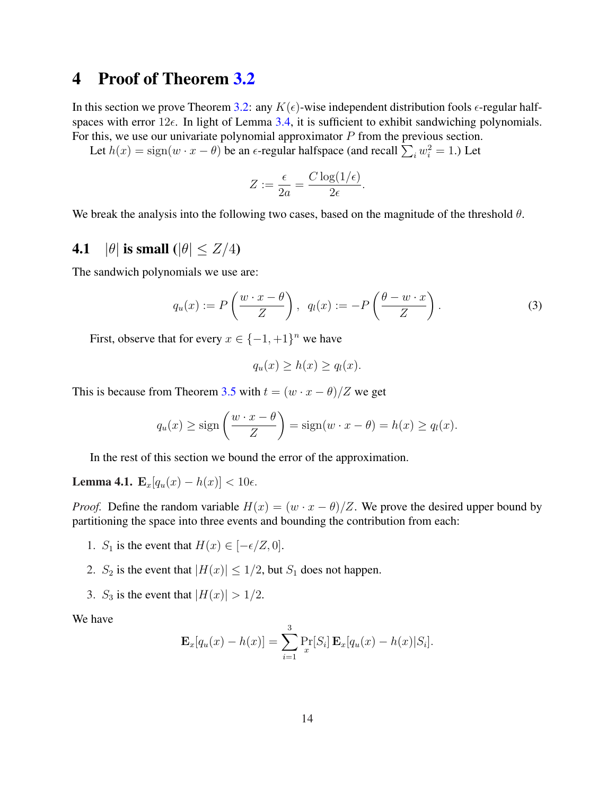### 4 Proof of Theorem 3.2

In this section we prove Theorem 3.2: any  $K(\epsilon)$ -wise independent distribution fools  $\epsilon$ -regular halfspaces with error  $12\epsilon$ . In light of Lemma 3.4, it is sufficient to exhibit sandwiching polynomials. For this, we use our univariate polynomial approximator  $P$  from the previous section.

Let  $h(x) = sign(w \cdot x - \theta)$  be an  $\epsilon$ -regular halfspace (and recall  $\sum_i w_i^2 = 1$ .) Let

$$
Z := \frac{\epsilon}{2a} = \frac{C \log(1/\epsilon)}{2\epsilon}.
$$

We break the analysis into the following two cases, based on the magnitude of the threshold  $\theta$ .

### 4.1 | $|\theta|$  is small  $(|\theta| \leq Z/4)$

The sandwich polynomials we use are:

$$
q_u(x) := P\left(\frac{w \cdot x - \theta}{Z}\right), \ \ q_l(x) := -P\left(\frac{\theta - w \cdot x}{Z}\right). \tag{3}
$$

First, observe that for every  $x \in \{-1, +1\}^n$  we have

$$
q_u(x) \ge h(x) \ge q_l(x).
$$

This is because from Theorem 3.5 with  $t = (w \cdot x - \theta)/Z$  we get

$$
q_u(x) \ge \text{sign}\left(\frac{w \cdot x - \theta}{Z}\right) = \text{sign}(w \cdot x - \theta) = h(x) \ge q_l(x).
$$

In the rest of this section we bound the error of the approximation.

Lemma 4.1.  $\mathbf{E}_x[q_u(x) - h(x)] < 10\epsilon$ .

*Proof.* Define the random variable  $H(x) = (w \cdot x - \theta)/Z$ . We prove the desired upper bound by partitioning the space into three events and bounding the contribution from each:

- 1. S<sub>1</sub> is the event that  $H(x) \in [-\epsilon/2, 0]$ .
- 2.  $S_2$  is the event that  $|H(x)| \leq 1/2$ , but  $S_1$  does not happen.
- 3.  $S_3$  is the event that  $|H(x)| > 1/2$ .

We have

$$
\mathbf{E}_x[q_u(x) - h(x)] = \sum_{i=1}^3 \Pr_x[S_i] \mathbf{E}_x[q_u(x) - h(x)|S_i].
$$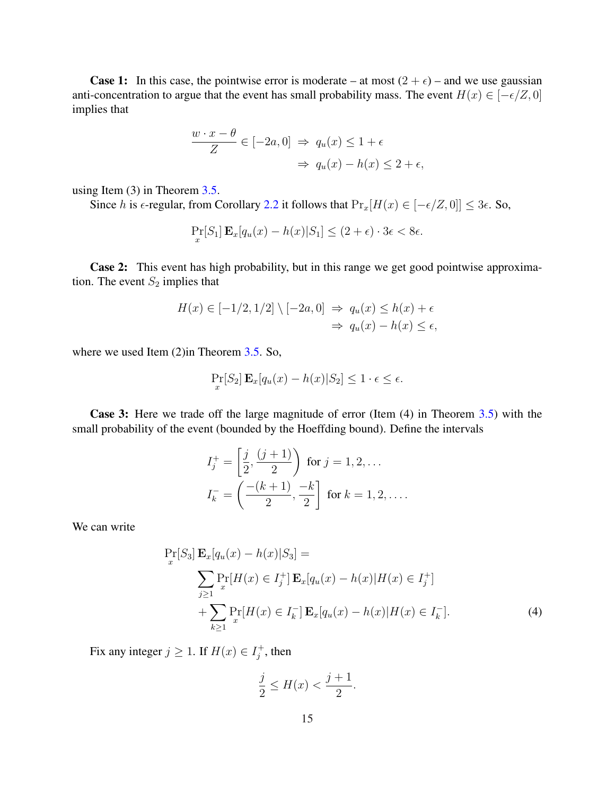**Case 1:** In this case, the pointwise error is moderate – at most  $(2 + \epsilon)$  – and we use gaussian anti-concentration to argue that the event has small probability mass. The event  $H(x) \in [-\epsilon/2, 0]$ implies that

$$
\frac{w \cdot x - \theta}{Z} \in [-2a, 0] \implies q_u(x) \le 1 + \epsilon
$$

$$
\implies q_u(x) - h(x) \le 2 + \epsilon,
$$

using Item (3) in Theorem 3.5.

Since h is  $\epsilon$ -regular, from Corollary 2.2 it follows that  $Pr_x[H(x) \in [-\epsilon/Z, 0]] \leq 3\epsilon$ . So,

$$
\Pr_x[S_1] \mathbf{E}_x[q_u(x) - h(x)|S_1] \le (2 + \epsilon) \cdot 3\epsilon < 8\epsilon.
$$

Case 2: This event has high probability, but in this range we get good pointwise approximation. The event  $S_2$  implies that

$$
H(x) \in [-1/2, 1/2] \setminus [-2a, 0] \implies q_u(x) \le h(x) + \epsilon
$$
  

$$
\implies q_u(x) - h(x) \le \epsilon,
$$

where we used Item (2)in Theorem 3.5. So,

$$
\Pr_x[S_2] \mathbf{E}_x[q_u(x) - h(x)|S_2] \le 1 \cdot \epsilon \le \epsilon.
$$

Case 3: Here we trade off the large magnitude of error (Item (4) in Theorem 3.5) with the small probability of the event (bounded by the Hoeffding bound). Define the intervals

$$
I_j^+ = \left[\frac{j}{2}, \frac{(j+1)}{2}\right) \text{ for } j = 1, 2, \dots
$$
  

$$
I_k^- = \left(\frac{-(k+1)}{2}, \frac{-k}{2}\right] \text{ for } k = 1, 2, \dots
$$

We can write

$$
\Pr_{x}[S_{3}] \mathbf{E}_{x}[q_{u}(x) - h(x)|S_{3}] =
$$
\n
$$
\sum_{j\geq 1} \Pr_{x}[H(x) \in I_{j}^{+}] \mathbf{E}_{x}[q_{u}(x) - h(x)|H(x) \in I_{j}^{+}] + \sum_{k\geq 1} \Pr_{x}[H(x) \in I_{k}^{-}] \mathbf{E}_{x}[q_{u}(x) - h(x)|H(x) \in I_{k}^{-}].
$$
\n(4)

Fix any integer  $j \geq 1$ . If  $H(x) \in I_i^+$  $j^+$ , then

$$
\frac{j}{2} \le H(x) < \frac{j+1}{2}.
$$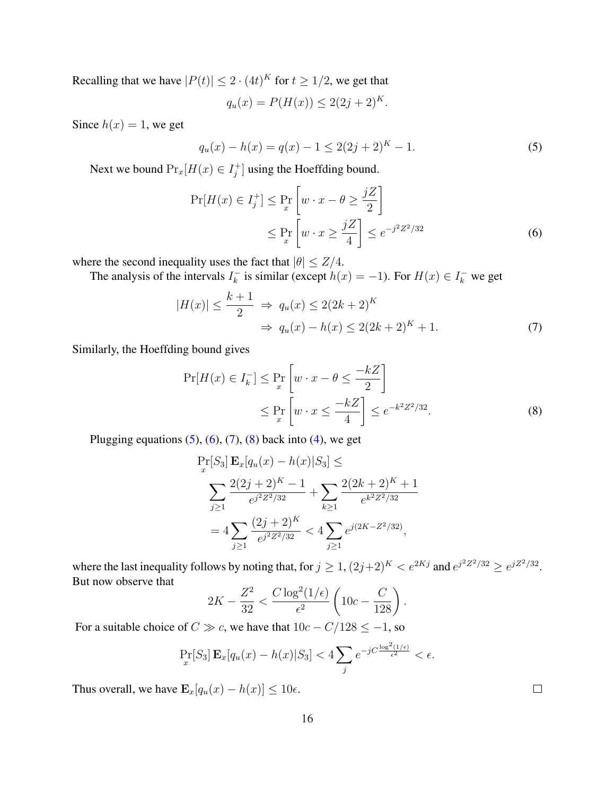Recalling that we have  $|P(t)| \leq 2 \cdot (4t)^K$  for  $t \geq 1/2$ , we get that

$$
q_u(x) = P(H(x)) \le 2(2j + 2)^K.
$$

Since  $h(x) = 1$ , we get

$$
q_u(x) - h(x) = q(x) - 1 \le 2(2j + 2)^K - 1.
$$
\n(5)

Next we bound  $Pr_x[H(x) \in I^+_i]$  $j^+$  using the Hoeffding bound.

$$
\Pr[H(x) \in I_j^+] \le \Pr_x \left[ w \cdot x - \theta \ge \frac{jZ}{2} \right]
$$
  
 
$$
\le \Pr_x \left[ w \cdot x \ge \frac{jZ}{4} \right] \le e^{-j^2 Z^2 / 32}
$$
 (6)

where the second inequality uses the fact that  $|\theta| \leq Z/4$ .

The analysis of the intervals  $I_k^ \overline{k}_k$  is similar (except  $h(x) = -1$ ). For  $H(x) \in I_k^-$  we get

$$
|H(x)| \le \frac{k+1}{2} \implies q_u(x) \le 2(2k+2)^K
$$
  

$$
\implies q_u(x) - h(x) \le 2(2k+2)^K + 1.
$$
 (7)

Similarly, the Hoeffding bound gives

$$
\Pr[H(x) \in I_k^-] \le \Pr_x \left[ w \cdot x - \theta \le \frac{-kZ}{2} \right]
$$
  
 
$$
\le \Pr_x \left[ w \cdot x \le \frac{-kZ}{4} \right] \le e^{-k^2 Z^2 / 32}.
$$
 (8)

Plugging equations  $(5)$ ,  $(6)$ ,  $(7)$ ,  $(8)$  back into  $(4)$ , we get

$$
\Pr_{x}[S_{3}] \mathbf{E}_{x}[q_{u}(x) - h(x)|S_{3}] \leq
$$
\n
$$
\sum_{j\geq 1} \frac{2(2j+2)^{K} - 1}{e^{j^{2}Z^{2}/32}} + \sum_{k\geq 1} \frac{2(2k+2)^{K} + 1}{e^{k^{2}Z^{2}/32}}
$$
\n
$$
= 4 \sum_{j\geq 1} \frac{(2j+2)^{K}}{e^{j^{2}Z^{2}/32}} < 4 \sum_{j\geq 1} e^{j(2K - Z^{2}/32)},
$$

where the last inequality follows by noting that, for  $j \geq 1$ ,  $(2j+2)^K < e^{2Kj}$  and  $e^{j^2 Z^2/32} \geq e^{jZ^2/32}$ . But now observe that  $\overline{a}$ 

$$
2K - \frac{Z^2}{32} < \frac{C \log^2(1/\epsilon)}{\epsilon^2} \left( 10c - \frac{C}{128} \right).
$$

For a suitable choice of  $C \gg c$ , we have that  $10c - C/128 \le -1$ , so

$$
\Pr_x[S_3] \mathbf{E}_x[q_u(x) - h(x)|S_3] < 4 \sum_j e^{-jC \frac{\log^2(1/\epsilon)}{\epsilon^2}} < \epsilon.
$$

Thus overall, we have  $\mathbf{E}_x[q_u(x) - h(x)] \leq 10\epsilon$ .

 $\Box$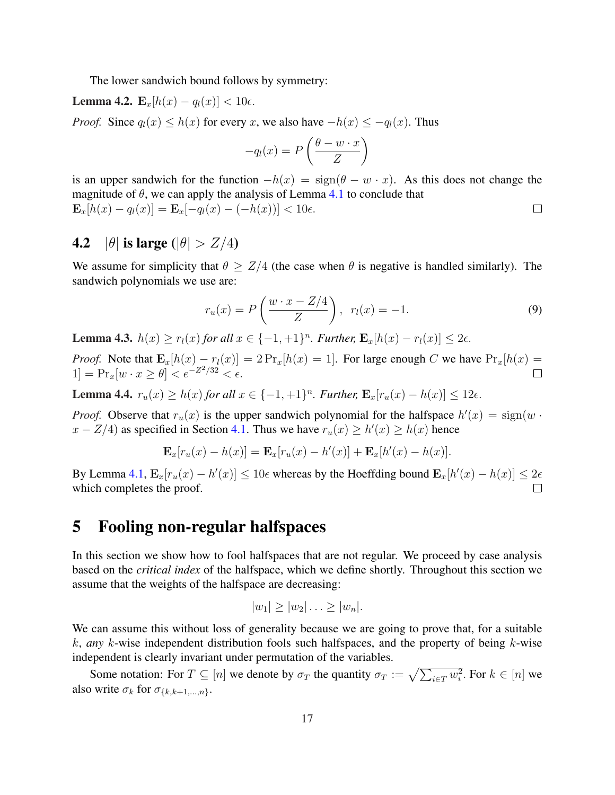The lower sandwich bound follows by symmetry:

Lemma 4.2.  $\mathbf{E}_x[h(x) - q_l(x)] < 10\epsilon$ .

*Proof.* Since  $q_l(x) \leq h(x)$  for every x, we also have  $-h(x) \leq -q_l(x)$ . Thus

$$
-q_l(x) = P\left(\frac{\theta - w \cdot x}{Z}\right)
$$

is an upper sandwich for the function  $-h(x) = sign(\theta - w \cdot x)$ . As this does not change the magnitude of  $\theta$ , we can apply the analysis of Lemma 4.1 to conclude that  $\mathbf{E}_x[h(x) - q_l(x)] = \mathbf{E}_x[-q_l(x) - (-h(x))] < 10\epsilon.$  $\Box$ 

### 4.2  $|\theta|$  is large  $(|\theta| > Z/4)$

We assume for simplicity that  $\theta \geq Z/4$  (the case when  $\theta$  is negative is handled similarly). The sandwich polynomials we use are:

$$
r_u(x) = P\left(\frac{w \cdot x - Z/4}{Z}\right), \quad r_l(x) = -1. \tag{9}
$$

**Lemma 4.3.**  $h(x) \ge r_l(x)$  *for all*  $x \in \{-1, +1\}^n$ *. Further,*  $\mathbf{E}_x[h(x) - r_l(x)] \le 2\epsilon$ *.* 

*Proof.* Note that  $\mathbf{E}_x[h(x) - r_l(x)] = 2 \Pr_x[h(x) = 1]$ . For large enough C we have  $\Pr_x[h(x) = 1]$ 1] =  $Pr_x[w \cdot x \ge \theta] < e^{-Z^2/32} < \epsilon$ .  $\Box$ 

**Lemma 4.4.**  $r_u(x) \ge h(x)$  *for all*  $x \in \{-1, +1\}^n$ *. Further,*  $\mathbf{E}_x[r_u(x) - h(x)] \le 12\epsilon$ *.* 

*Proof.* Observe that  $r_u(x)$  is the upper sandwich polynomial for the halfspace  $h'(x) = \text{sign}(w \cdot x)$  $x - Z/4$ ) as specified in Section 4.1. Thus we have  $r_u(x) \ge h'(x) \ge h(x)$  hence

$$
\mathbf{E}_x[r_u(x) - h(x)] = \mathbf{E}_x[r_u(x) - h'(x)] + \mathbf{E}_x[h'(x) - h(x)].
$$

By Lemma 4.1,  $\mathbf{E}_x[r_u(x) - h'(x)] \le 10\epsilon$  whereas by the Hoeffding bound  $\mathbf{E}_x[h'(x) - h(x)] \le 2\epsilon$ which completes the proof.  $\Box$ 

### 5 Fooling non-regular halfspaces

In this section we show how to fool halfspaces that are not regular. We proceed by case analysis based on the *critical index* of the halfspace, which we define shortly. Throughout this section we assume that the weights of the halfspace are decreasing:

$$
|w_1| \geq |w_2| \ldots \geq |w_n|.
$$

We can assume this without loss of generality because we are going to prove that, for a suitable k, *any* k-wise independent distribution fools such halfspaces, and the property of being k-wise independent is clearly invariant under permutation of the variables.

Some notation: For  $T \subseteq [n]$  we denote by  $\sigma_T$  the quantity  $\sigma_T := \sqrt{\sum_{i \in T} w_i^2}$ . For  $k \in [n]$  we also write  $\sigma_k$  for  $\sigma_{\{k,k+1,\dots,n\}}$ .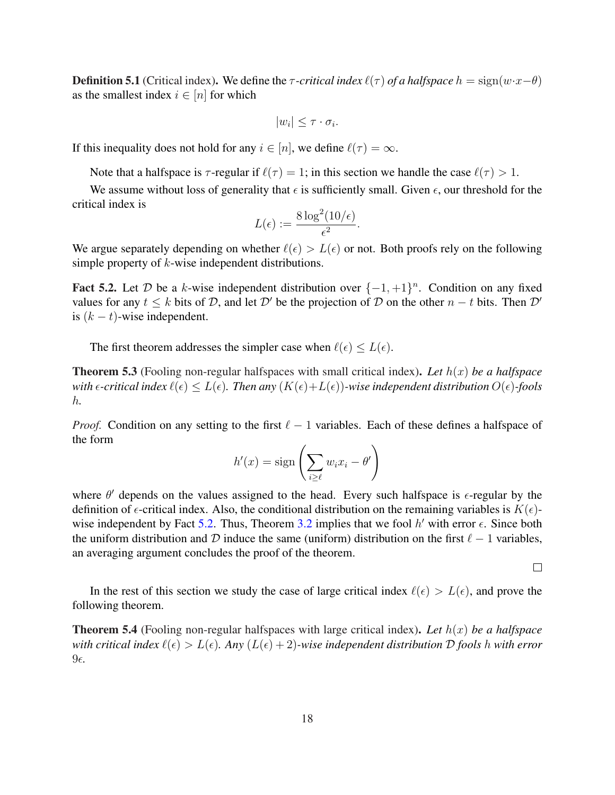**Definition 5.1** (Critical index). We define the  $\tau$ -critical index  $\ell(\tau)$  of a halfspace  $h = sign(w \cdot x - \theta)$ as the smallest index  $i \in [n]$  for which

$$
|w_i| \leq \tau \cdot \sigma_i.
$$

If this inequality does not hold for any  $i \in [n]$ , we define  $\ell(\tau) = \infty$ .

Note that a halfspace is  $\tau$ -regular if  $\ell(\tau) = 1$ ; in this section we handle the case  $\ell(\tau) > 1$ .

We assume without loss of generality that  $\epsilon$  is sufficiently small. Given  $\epsilon$ , our threshold for the critical index is

$$
L(\epsilon) := \frac{8 \log^2(10/\epsilon)}{\epsilon^2}.
$$

We argue separately depending on whether  $\ell(\epsilon) > L(\epsilon)$  or not. Both proofs rely on the following simple property of k-wise independent distributions.

Fact 5.2. Let D be a k-wise independent distribution over  $\{-1, +1\}^n$ . Condition on any fixed values for any  $t \leq k$  bits of D, and let D' be the projection of D on the other  $n - t$  bits. Then D' is  $(k - t)$ -wise independent.

The first theorem addresses the simpler case when  $\ell(\epsilon) \leq L(\epsilon)$ .

Theorem 5.3 (Fooling non-regular halfspaces with small critical index). *Let* h(x) *be a halfspace with*  $\epsilon$ -critical index  $\ell(\epsilon) \leq L(\epsilon)$ . Then any  $(K(\epsilon)+L(\epsilon))$ -wise independent distribution  $O(\epsilon)$ -fools h*.*

*Proof.* Condition on any setting to the first  $\ell - 1$  variables. Each of these defines a halfspace of the form !<br>!

$$
h'(x) = \text{sign}\left(\sum_{i \ge \ell} w_i x_i - \theta'\right)
$$

where  $\theta'$  depends on the values assigned to the head. Every such halfspace is  $\epsilon$ -regular by the definition of  $\epsilon$ -critical index. Also, the conditional distribution on the remaining variables is  $K(\epsilon)$ wise independent by Fact 5.2. Thus, Theorem 3.2 implies that we fool  $h'$  with error  $\epsilon$ . Since both the uniform distribution and D induce the same (uniform) distribution on the first  $\ell - 1$  variables, an averaging argument concludes the proof of the theorem.

 $\Box$ 

In the rest of this section we study the case of large critical index  $\ell(\epsilon) > L(\epsilon)$ , and prove the following theorem.

**Theorem 5.4** (Fooling non-regular halfspaces with large critical index). Let  $h(x)$  be a halfspace *with critical index*  $\ell(\epsilon) > L(\epsilon)$ *. Any*  $(L(\epsilon) + 2)$ *-wise independent distribution* D fools h with error  $9<sub>\epsilon</sub>$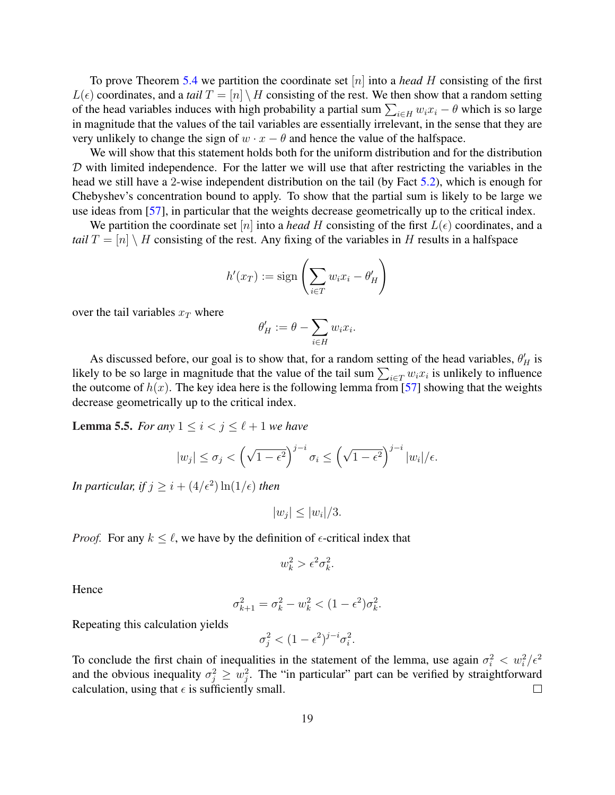To prove Theorem 5.4 we partition the coordinate set [n] into a *head* H consisting of the first  $L(\epsilon)$  coordinates, and a *tail*  $T = [n] \setminus H$  consisting of the rest. We then show that a random setting  $L(\epsilon)$  coordinates, and a *tatt*  $I = [n] \setminus H$  consisting of the rest. We then show that a random setting of the head variables induces with high probability a partial sum  $\sum_{i \in H} w_i x_i - \theta$  which is so large in magnitude that the values of the tail variables are essentially irrelevant, in the sense that they are very unlikely to change the sign of  $w \cdot x - \theta$  and hence the value of the halfspace.

We will show that this statement holds both for the uniform distribution and for the distribution  $D$  with limited independence. For the latter we will use that after restricting the variables in the head we still have a 2-wise independent distribution on the tail (by Fact 5.2), which is enough for Chebyshev's concentration bound to apply. To show that the partial sum is likely to be large we use ideas from [57], in particular that the weights decrease geometrically up to the critical index.

We partition the coordinate set [n] into a *head* H consisting of the first  $L(\epsilon)$  coordinates, and a *tail*  $T = [n] \setminus H$  consisting of the rest. Any fixing of the variables in H results in a halfspace

$$
h'(x_T) := \text{sign}\left(\sum_{i \in T} w_i x_i - \theta'_H\right)
$$

over the tail variables  $x_T$  where

$$
\theta'_H := \theta - \sum_{i \in H} w_i x_i.
$$

As discussed before, our goal is to show that, for a random setting of the head variables,  $\theta'_{H}$  is As discussed before, our goal is to show that, for a random setting of the head variables,  $\sigma_H$  is likely to be so large in magnitude that the value of the tail sum  $\sum_{i \in T} w_i x_i$  is unlikely to influence the outcome of  $h(x)$ . The key idea here is the following lemma from [57] showing that the weights decrease geometrically up to the critical index.

**Lemma 5.5.** *For any*  $1 \leq i < j \leq \ell + 1$  *we have* 

$$
|w_j| \leq \sigma_j < \left(\sqrt{1-\epsilon^2}\right)^{j-i} \sigma_i \leq \left(\sqrt{1-\epsilon^2}\right)^{j-i} |w_i|/\epsilon.
$$

*In particular, if*  $j \geq i + (4/\epsilon^2) \ln(1/\epsilon)$  *then* 

$$
|w_j| \le |w_i|/3.
$$

*Proof.* For any  $k \leq \ell$ , we have by the definition of  $\epsilon$ -critical index that

$$
w_k^2 > \epsilon^2 \sigma_k^2.
$$

Hence

$$
\sigma_{k+1}^2 = \sigma_k^2 - w_k^2 < (1 - \epsilon^2)\sigma_k^2.
$$

Repeating this calculation yields

$$
\sigma_j^2 < (1 - \epsilon^2)^{j - i} \sigma_i^2.
$$

To conclude the first chain of inequalities in the statement of the lemma, use again  $\sigma_i^2 < w_i^2/\epsilon^2$ and the obvious inequality  $\sigma_j^2 \geq w_j^2$ . The "in particular" part can be verified by straightforward calculation, using that  $\epsilon$  is sufficiently small.  $\Box$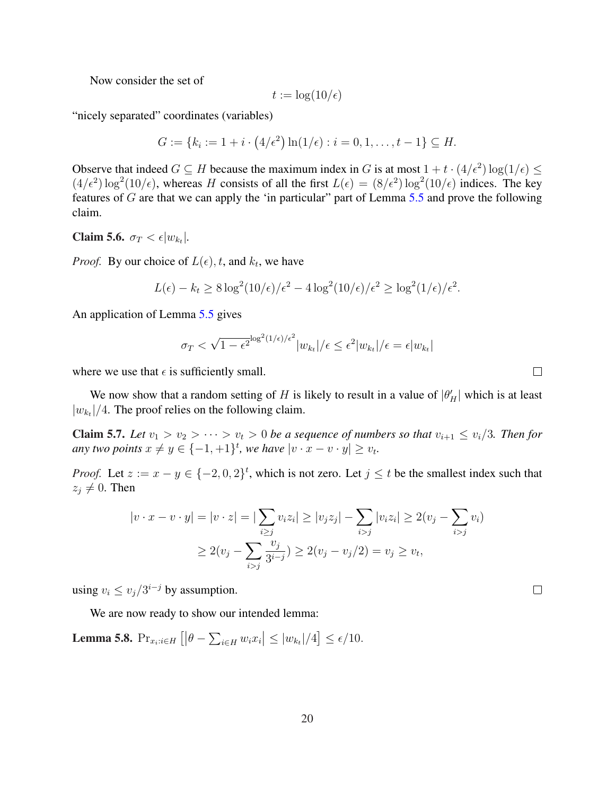Now consider the set of

$$
t := \log(10/\epsilon)
$$

"nicely separated" coordinates (variables)

$$
G := \{ k_i := 1 + i \cdot (4/\epsilon^2) \ln(1/\epsilon) : i = 0, 1, \dots, t - 1 \} \subseteq H.
$$

Observe that indeed  $G \subseteq H$  because the maximum index in G is at most  $1 + t \cdot (4/\epsilon^2) \log(1/\epsilon) \le$  $(4/\epsilon^2) \log^2(10/\epsilon)$ , whereas H consists of all the first  $L(\epsilon) = (8/\epsilon^2) \log^2(10/\epsilon)$  indices. The key features of  $G$  are that we can apply the 'in particular' part of Lemma 5.5 and prove the following claim.

Claim 5.6.  $\sigma_T < \epsilon |w_{k_t}|$ .

*Proof.* By our choice of  $L(\epsilon)$ , t, and  $k_t$ , we have

$$
L(\epsilon) - k_t \ge 8 \log^2(10/\epsilon) / \epsilon^2 - 4 \log^2(10/\epsilon) / \epsilon^2 \ge \log^2(1/\epsilon) / \epsilon^2.
$$

An application of Lemma 5.5 gives

$$
\sigma_T < \sqrt{1 - \epsilon^2}^{\log^2(1/\epsilon)/\epsilon^2} |w_{k_t}| / \epsilon \le \epsilon^2 |w_{k_t}| / \epsilon = \epsilon |w_{k_t}|
$$

where we use that  $\epsilon$  is sufficiently small.

We now show that a random setting of H is likely to result in a value of  $|\theta_H|$  which is at least  $|w_{k_t}|/4$ . The proof relies on the following claim.

**Claim 5.7.** Let  $v_1 > v_2 > \cdots > v_t > 0$  be a sequence of numbers so that  $v_{i+1} \leq v_i/3$ . Then for *any two points*  $x \neq y \in \{-1, +1\}^t$ *, we have*  $|v \cdot x - v \cdot y| \geq v_t$ *.* 

*Proof.* Let  $z := x - y \in \{-2, 0, 2\}^t$ , which is not zero. Let  $j \le t$  be the smallest index such that  $z_i \neq 0$ . Then

$$
|v \cdot x - v \cdot y| = |v \cdot z| = |\sum_{i \ge j} v_i z_i| \ge |v_j z_j| - \sum_{i > j} |v_i z_i| \ge 2(v_j - \sum_{i > j} v_i)
$$
  

$$
\ge 2(v_j - \sum_{i > j} \frac{v_j}{3^{i-j}}) \ge 2(v_j - v_j/2) = v_j \ge v_t,
$$

using  $v_i \le v_j/3^{i-j}$  by assumption.

We are now ready to show our intended lemma:

Lemma 5.8.  $Pr_{x_i:i \in H}$  $[|\theta - \sum_{i=1}^{n}$  $i \in H$   $w_i x_i$  $\vert \leq \vert w_{k_t} \vert / 4$ l<br>E  $\leq \epsilon/10$ .  $\Box$ 

 $\Box$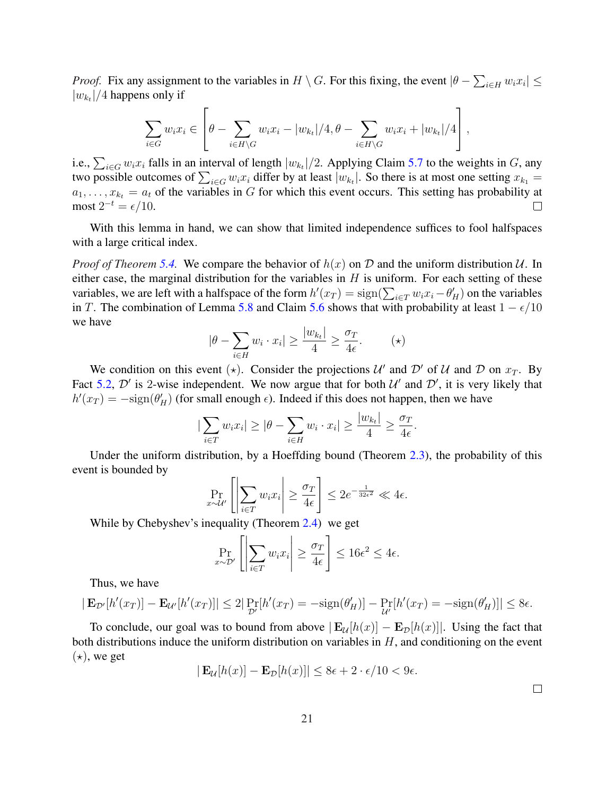*Proof.* Fix any assignment to the variables in  $H \setminus G$ . For this fixing, the event  $|\theta - \theta|$  $\overline{ }$  $\left| \sum_{i\in H} w_i x_i \right| \leq$  $|w_{k_t}|/4$  happens only if  $\overline{r}$  $\overline{a}$ 

$$
\sum_{i \in G} w_i x_i \in \left[\theta - \sum_{i \in H \backslash G} w_i x_i - |w_{k_t}|/4, \theta - \sum_{i \in H \backslash G} w_i x_i + |w_{k_t}|/4\right],
$$

i.e.,  $\sum_{i \in G} w_i x_i$  falls in an interval of length  $|w_{k_t}|/2$ . Applying Claim 5.7 to the weights in G, any i.e.,  $\sum_{i\in G} w_i x_i$  hans in an interval of length  $|w_{k_t}|/2$ . Applying Claim 3.7 to the weights in G, any two possible outcomes of  $\sum_{i\in G} w_i x_i$  differ by at least  $|w_{k_t}|$ . So there is at most one setting  $x_{k_1} =$  $a_1, \ldots, x_{k_t} = a_t$  of the variables in G for which this event occurs. This setting has probability at most  $2^{-t} = \epsilon/10$ .  $\Box$ 

With this lemma in hand, we can show that limited independence suffices to fool halfspaces with a large critical index.

*Proof of Theorem* 5.4. We compare the behavior of  $h(x)$  on D and the uniform distribution U. In either case, the marginal distribution for the variables in  $H$  is uniform. For each setting of these emer case, the marginal distribution for the variables in *H* is uniform. For each setting of these variables, we are left with a halfspace of the form  $h'(x_T) = sign(\sum_{i \in T} w_i x_i - \theta'_H)$  on the variables in T. The combination of Lemma 5.8 and Claim 5.6 shows that with probability at least  $1 - \epsilon/10$ we have

$$
|\theta - \sum_{i \in H} w_i \cdot x_i| \ge \frac{|w_{k_t}|}{4} \ge \frac{\sigma_T}{4\epsilon}.\tag{\star}
$$

We condition on this event ( $\star$ ). Consider the projections U' and D' of U and D on  $x_T$ . By Fact 5.2,  $\mathcal{D}'$  is 2-wise independent. We now argue that for both  $\mathcal{U}'$  and  $\mathcal{D}'$ , it is very likely that  $h'(x_T) = -\text{sign}(\theta'_H)$  (for small enough  $\epsilon$ ). Indeed if this does not happen, then we have

$$
|\sum_{i \in T} w_i x_i| \ge |\theta - \sum_{i \in H} w_i \cdot x_i| \ge \frac{|w_{k} |}{4} \ge \frac{\sigma_T}{4\epsilon}.
$$

Under the uniform distribution, by a Hoeffding bound (Theorem 2.3), the probability of this event is bounded by  $\overline{a}$  $\overline{a}$  $\overline{a}$ 

$$
\Pr_{x \sim \mathcal{U}'} \left[ \left| \sum_{i \in T} w_i x_i \right| \ge \frac{\sigma_T}{4\epsilon} \right] \le 2e^{-\frac{1}{32\epsilon^2}} \ll 4\epsilon.
$$

While by Chebyshev's inequality (Theorem 2.4) we get  $\frac{1}{2}$ 

$$
\Pr_{x \sim \mathcal{D}'} \left[ \left| \sum_{i \in T} w_i x_i \right| \ge \frac{\sigma_T}{4\epsilon} \right] \le 16\epsilon^2 \le 4\epsilon.
$$

Thus, we have

$$
|\mathbf{E}_{\mathcal{D}'}[h'(x_T)] - \mathbf{E}_{\mathcal{U}'}[h'(x_T)]| \le 2|\Pr_{\mathcal{D}'}[h'(x_T) = -\text{sign}(\theta_H')] - \Pr_{\mathcal{U}'}[h'(x_T) = -\text{sign}(\theta_H')]| \le 8\epsilon.
$$

To conclude, our goal was to bound from above  $|\mathbf{E}_U[h(x)] - \mathbf{E}_D[h(x)]|$ . Using the fact that both distributions induce the uniform distribution on variables in  $H$ , and conditioning on the event  $(\star)$ , we get

$$
|\mathbf{E}_{\mathcal{U}}[h(x)] - \mathbf{E}_{\mathcal{D}}[h(x)]| \le 8\epsilon + 2 \cdot \epsilon/10 < 9\epsilon.
$$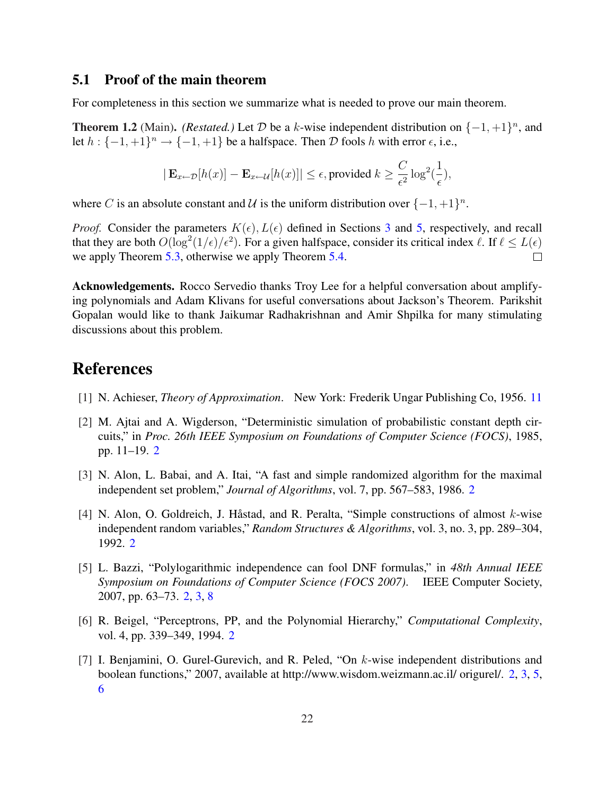#### 5.1 Proof of the main theorem

For completeness in this section we summarize what is needed to prove our main theorem.

**Theorem 1.2** (Main). *(Restated.)* Let D be a k-wise independent distribution on  $\{-1, +1\}^n$ , and let  $h: \{-1,+1\}^n \to \{-1,+1\}$  be a halfspace. Then  $D$  fools h with error  $\epsilon$ , i.e.,

$$
|\mathbf{E}_{x \leftarrow \mathcal{D}}[h(x)] - \mathbf{E}_{x \leftarrow \mathcal{U}}[h(x)]| \le \epsilon
$$
, provided  $k \ge \frac{C}{\epsilon^2} \log^2(\frac{1}{\epsilon})$ ,

where C is an absolute constant and U is the uniform distribution over  $\{-1, +1\}^n$ .

*Proof.* Consider the parameters  $K(\epsilon)$ ,  $L(\epsilon)$  defined in Sections 3 and 5, respectively, and recall that they are both  $O(\log^2(1/\epsilon)/\epsilon^2)$ . For a given halfspace, consider its critical index  $\ell$ . If  $\ell \leq L(\epsilon)$ we apply Theorem 5.3, otherwise we apply Theorem 5.4.  $\Box$ 

Acknowledgements. Rocco Servedio thanks Troy Lee for a helpful conversation about amplifying polynomials and Adam Klivans for useful conversations about Jackson's Theorem. Parikshit Gopalan would like to thank Jaikumar Radhakrishnan and Amir Shpilka for many stimulating discussions about this problem.

## References

- [1] N. Achieser, *Theory of Approximation*. New York: Frederik Ungar Publishing Co, 1956. 11
- [2] M. Ajtai and A. Wigderson, "Deterministic simulation of probabilistic constant depth circuits," in *Proc. 26th IEEE Symposium on Foundations of Computer Science (FOCS)*, 1985, pp. 11–19. 2
- [3] N. Alon, L. Babai, and A. Itai, "A fast and simple randomized algorithm for the maximal independent set problem," *Journal of Algorithms*, vol. 7, pp. 567–583, 1986. 2
- [4] N. Alon, O. Goldreich, J. Håstad, and R. Peralta, "Simple constructions of almost  $k$ -wise independent random variables," *Random Structures & Algorithms*, vol. 3, no. 3, pp. 289–304, 1992. 2
- [5] L. Bazzi, "Polylogarithmic independence can fool DNF formulas," in *48th Annual IEEE Symposium on Foundations of Computer Science (FOCS 2007)*. IEEE Computer Society, 2007, pp. 63–73. 2, 3, 8
- [6] R. Beigel, "Perceptrons, PP, and the Polynomial Hierarchy," *Computational Complexity*, vol. 4, pp. 339–349, 1994. 2
- [7] I. Benjamini, O. Gurel-Gurevich, and R. Peled, "On k-wise independent distributions and boolean functions," 2007, available at http://www.wisdom.weizmann.ac.il/ origurel/. 2, 3, 5, 6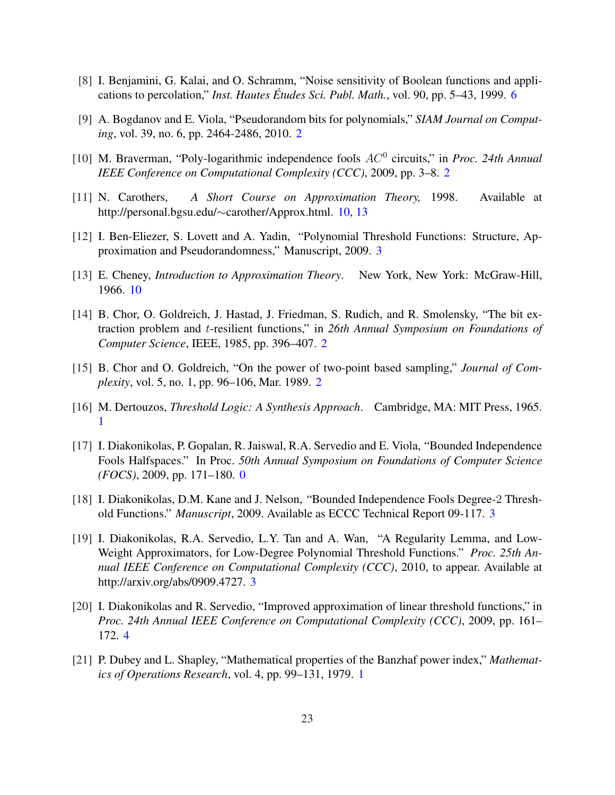- [8] I. Benjamini, G. Kalai, and O. Schramm, "Noise sensitivity of Boolean functions and applications to percolation," *Inst. Hautes Etudes Sci. Publ. Math. ´* , vol. 90, pp. 5–43, 1999. 6
- [9] A. Bogdanov and E. Viola, "Pseudorandom bits for polynomials," *SIAM Journal on Computing*, vol. 39, no. 6, pp. 2464-2486, 2010. 2
- [10] M. Braverman, "Poly-logarithmic independence fools  $AC^0$  circuits," in *Proc. 24th Annual IEEE Conference on Computational Complexity (CCC)*, 2009, pp. 3–8. 2
- [11] N. Carothers, *A Short Course on Approximation Theory,* 1998. Available at http://personal.bgsu.edu/∼carother/Approx.html. 10, 13
- [12] I. Ben-Eliezer, S. Lovett and A. Yadin, "Polynomial Threshold Functions: Structure, Approximation and Pseudorandomness," Manuscript, 2009. 3
- [13] E. Cheney, *Introduction to Approximation Theory*. New York, New York: McGraw-Hill, 1966. 10
- [14] B. Chor, O. Goldreich, J. Hastad, J. Friedman, S. Rudich, and R. Smolensky, "The bit extraction problem and t-resilient functions," in *26th Annual Symposium on Foundations of Computer Science*, IEEE, 1985, pp. 396–407. 2
- [15] B. Chor and O. Goldreich, "On the power of two-point based sampling," *Journal of Complexity*, vol. 5, no. 1, pp. 96–106, Mar. 1989. 2
- [16] M. Dertouzos, *Threshold Logic: A Synthesis Approach*. Cambridge, MA: MIT Press, 1965. 1
- [17] I. Diakonikolas, P. Gopalan, R. Jaiswal, R.A. Servedio and E. Viola, "Bounded Independence Fools Halfspaces." In Proc. *50th Annual Symposium on Foundations of Computer Science (FOCS)*, 2009, pp. 171–180. 0
- [18] I. Diakonikolas, D.M. Kane and J. Nelson, "Bounded Independence Fools Degree-2 Threshold Functions." *Manuscript*, 2009. Available as ECCC Technical Report 09-117. 3
- [19] I. Diakonikolas, R.A. Servedio, L.Y. Tan and A. Wan, "A Regularity Lemma, and Low-Weight Approximators, for Low-Degree Polynomial Threshold Functions." *Proc. 25th Annual IEEE Conference on Computational Complexity (CCC)*, 2010, to appear. Available at http://arxiv.org/abs/0909.4727. 3
- [20] I. Diakonikolas and R. Servedio, "Improved approximation of linear threshold functions," in *Proc. 24th Annual IEEE Conference on Computational Complexity (CCC)*, 2009, pp. 161– 172. 4
- [21] P. Dubey and L. Shapley, "Mathematical properties of the Banzhaf power index," *Mathematics of Operations Research*, vol. 4, pp. 99–131, 1979. 1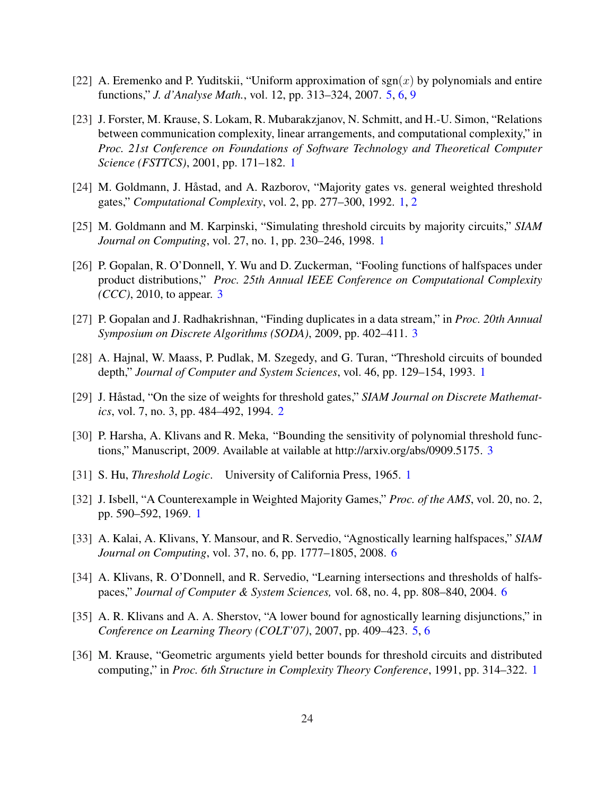- [22] A. Eremenko and P. Yuditskii, "Uniform approximation of  $sgn(x)$  by polynomials and entire functions," *J. d'Analyse Math.*, vol. 12, pp. 313–324, 2007. 5, 6, 9
- [23] J. Forster, M. Krause, S. Lokam, R. Mubarakzjanov, N. Schmitt, and H.-U. Simon, "Relations between communication complexity, linear arrangements, and computational complexity," in *Proc. 21st Conference on Foundations of Software Technology and Theoretical Computer Science (FSTTCS)*, 2001, pp. 171–182. 1
- [24] M. Goldmann, J. Håstad, and A. Razborov, "Majority gates vs. general weighted threshold gates," *Computational Complexity*, vol. 2, pp. 277–300, 1992. 1, 2
- [25] M. Goldmann and M. Karpinski, "Simulating threshold circuits by majority circuits," *SIAM Journal on Computing*, vol. 27, no. 1, pp. 230–246, 1998. 1
- [26] P. Gopalan, R. O'Donnell, Y. Wu and D. Zuckerman, "Fooling functions of halfspaces under product distributions," *Proc. 25th Annual IEEE Conference on Computational Complexity (CCC)*, 2010, to appear. 3
- [27] P. Gopalan and J. Radhakrishnan, "Finding duplicates in a data stream," in *Proc. 20th Annual Symposium on Discrete Algorithms (SODA)*, 2009, pp. 402–411. 3
- [28] A. Hajnal, W. Maass, P. Pudlak, M. Szegedy, and G. Turan, "Threshold circuits of bounded depth," *Journal of Computer and System Sciences*, vol. 46, pp. 129–154, 1993. 1
- [29] J. Håstad, "On the size of weights for threshold gates," SIAM Journal on Discrete Mathemat*ics*, vol. 7, no. 3, pp. 484–492, 1994. 2
- [30] P. Harsha, A. Klivans and R. Meka, "Bounding the sensitivity of polynomial threshold functions," Manuscript, 2009. Available at vailable at http://arxiv.org/abs/0909.5175. 3
- [31] S. Hu, *Threshold Logic*. University of California Press, 1965. 1
- [32] J. Isbell, "A Counterexample in Weighted Majority Games," *Proc. of the AMS*, vol. 20, no. 2, pp. 590–592, 1969. 1
- [33] A. Kalai, A. Klivans, Y. Mansour, and R. Servedio, "Agnostically learning halfspaces," *SIAM Journal on Computing*, vol. 37, no. 6, pp. 1777–1805, 2008. 6
- [34] A. Klivans, R. O'Donnell, and R. Servedio, "Learning intersections and thresholds of halfspaces," *Journal of Computer & System Sciences,* vol. 68, no. 4, pp. 808–840, 2004. 6
- [35] A. R. Klivans and A. A. Sherstov, "A lower bound for agnostically learning disjunctions," in *Conference on Learning Theory (COLT'07)*, 2007, pp. 409–423. 5, 6
- [36] M. Krause, "Geometric arguments yield better bounds for threshold circuits and distributed computing," in *Proc. 6th Structure in Complexity Theory Conference*, 1991, pp. 314–322. 1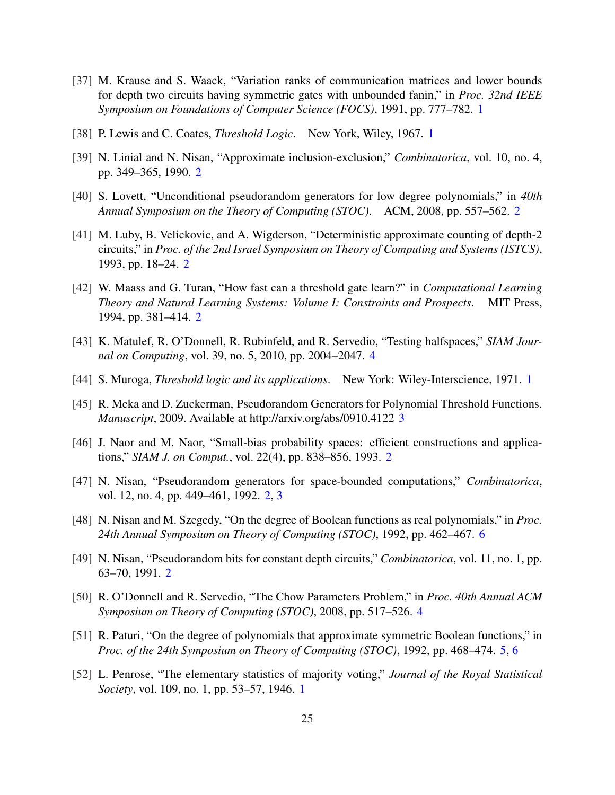- [37] M. Krause and S. Waack, "Variation ranks of communication matrices and lower bounds for depth two circuits having symmetric gates with unbounded fanin," in *Proc. 32nd IEEE Symposium on Foundations of Computer Science (FOCS)*, 1991, pp. 777–782. 1
- [38] P. Lewis and C. Coates, *Threshold Logic*. New York, Wiley, 1967. 1
- [39] N. Linial and N. Nisan, "Approximate inclusion-exclusion," *Combinatorica*, vol. 10, no. 4, pp. 349–365, 1990. 2
- [40] S. Lovett, "Unconditional pseudorandom generators for low degree polynomials," in *40th Annual Symposium on the Theory of Computing (STOC)*. ACM, 2008, pp. 557–562. 2
- [41] M. Luby, B. Velickovic, and A. Wigderson, "Deterministic approximate counting of depth-2 circuits," in *Proc. of the 2nd Israel Symposium on Theory of Computing and Systems (ISTCS)*, 1993, pp. 18–24. 2
- [42] W. Maass and G. Turan, "How fast can a threshold gate learn?" in *Computational Learning Theory and Natural Learning Systems: Volume I: Constraints and Prospects*. MIT Press, 1994, pp. 381–414. 2
- [43] K. Matulef, R. O'Donnell, R. Rubinfeld, and R. Servedio, "Testing halfspaces," *SIAM Journal on Computing*, vol. 39, no. 5, 2010, pp. 2004–2047. 4
- [44] S. Muroga, *Threshold logic and its applications*. New York: Wiley-Interscience, 1971. 1
- [45] R. Meka and D. Zuckerman, Pseudorandom Generators for Polynomial Threshold Functions. *Manuscript*, 2009. Available at http://arxiv.org/abs/0910.4122 3
- [46] J. Naor and M. Naor, "Small-bias probability spaces: efficient constructions and applications," *SIAM J. on Comput.*, vol. 22(4), pp. 838–856, 1993. 2
- [47] N. Nisan, "Pseudorandom generators for space-bounded computations," *Combinatorica*, vol. 12, no. 4, pp. 449–461, 1992. 2, 3
- [48] N. Nisan and M. Szegedy, "On the degree of Boolean functions as real polynomials," in *Proc. 24th Annual Symposium on Theory of Computing (STOC)*, 1992, pp. 462–467. 6
- [49] N. Nisan, "Pseudorandom bits for constant depth circuits," *Combinatorica*, vol. 11, no. 1, pp. 63–70, 1991. 2
- [50] R. O'Donnell and R. Servedio, "The Chow Parameters Problem," in *Proc. 40th Annual ACM Symposium on Theory of Computing (STOC)*, 2008, pp. 517–526. 4
- [51] R. Paturi, "On the degree of polynomials that approximate symmetric Boolean functions," in *Proc. of the 24th Symposium on Theory of Computing (STOC)*, 1992, pp. 468–474. 5, 6
- [52] L. Penrose, "The elementary statistics of majority voting," *Journal of the Royal Statistical Society*, vol. 109, no. 1, pp. 53–57, 1946. 1